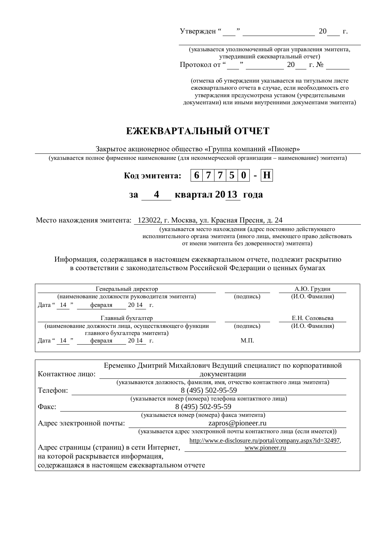| Утвержден" |  |  |
|------------|--|--|
|            |  |  |

(указывается уполномоченный орган управления эмитента, ɭɬɜɟɪɞɢɜɲɢɣɟɠɟɤɜɚɪɬɚɥɶɧɵɣɨɬɱɟɬ)  $20 \t\t \text{r. } \mathcal{N}^{\mathbf{0}}$ 

(отметка об утверждении указывается на титульном листе ежеквартального отчета в случае, если необходимость его утверждения предусмотрена уставом (учредительными документами) или иными внутренними документами эмитента)

# ЕЖЕКВАРТАЛЬНЫЙ ОТЧЕТ

Закрытое акционерное общество «Группа компаний «Пионер»

(указывается полное фирменное наименование (для некоммерческой организации – наименование) эмитента)

| Код эмитента: $\boxed{6}$   7   7   5   0   -  H |  |                   |  |  |  |  |
|--------------------------------------------------|--|-------------------|--|--|--|--|
| 32                                               |  | квартал 2013 года |  |  |  |  |

Место нахождения эмитента: 123022, г. Москва, ул. Красная Пресня, д. 24

(указывается место нахождения (адрес постоянно действующего исполнительного органа эмитента (иного лица, имеющего право действовать от имени эмитента без доверенности) эмитента)

Информация, содержащаяся в настоящем ежеквартальном отчете, подлежит раскрытию в соответствии с законодательством Российской Федерации о ценных бумагах

| Генеральный директор                                    |           | А.Ю. Грудин    |
|---------------------------------------------------------|-----------|----------------|
| (наименование должности руководителя эмитента)          | (подпись) | (И.О. Фамилия) |
| $14$ "<br>$2014$ $\Gamma$ .<br>Дата "<br>февраля        |           |                |
| Главный бухгалтер                                       |           | Е.Н. Соловьева |
| (наименование должности лица, осуществляющего функции   | (подпись) | (И.О. Фамилия) |
| главного бухгалтера эмитента)                           |           |                |
| $14$ "<br>$2014$ $\Gamma$ .<br>Дата "<br><b>февраля</b> | Μ.Π.      |                |

|                                                                       |  |                   | Еременко Дмитрий Михайлович Ведущий специалист по корпоративной           |  |
|-----------------------------------------------------------------------|--|-------------------|---------------------------------------------------------------------------|--|
| Контактное лицо:                                                      |  |                   | документации                                                              |  |
|                                                                       |  |                   | (указываются должность, фамилия, имя, отчество контактного лица эмитента) |  |
| Телефон:                                                              |  | 8 (495) 502-95-59 |                                                                           |  |
|                                                                       |  |                   | (указывается номер (номера) телефона контактного лица)                    |  |
| Факс:                                                                 |  |                   | 8 (495) 502-95-59                                                         |  |
| (указывается номер (номера) факса эмитента)                           |  |                   |                                                                           |  |
| Адрес электронной почты:<br>zapros@pioneer.ru                         |  |                   |                                                                           |  |
| (указывается адрес электронной почты контактного лица (если имеется)) |  |                   |                                                                           |  |
| http://www.e-disclosure.ru/portal/company.aspx?id=32497,              |  |                   |                                                                           |  |
| Адрес страницы (страниц) в сети Интернет,<br>www.pioneer.ru           |  |                   |                                                                           |  |
| на которой раскрывается информация,                                   |  |                   |                                                                           |  |
| содержащаяся в настоящем ежеквартальном отчете                        |  |                   |                                                                           |  |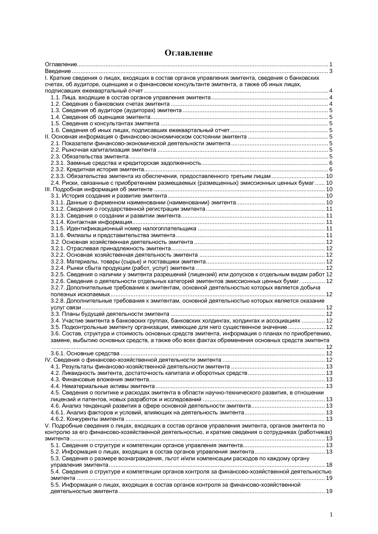| I. Краткие сведения о лицах, входящих в состав органов управления эмитента, сведения о банковских    |      |
|------------------------------------------------------------------------------------------------------|------|
| счетах, об аудиторе, оценщике и о финансовом консультанте эмитента, а также об иных лицах,           |      |
|                                                                                                      |      |
|                                                                                                      |      |
|                                                                                                      |      |
|                                                                                                      |      |
|                                                                                                      |      |
|                                                                                                      |      |
|                                                                                                      |      |
|                                                                                                      |      |
|                                                                                                      |      |
|                                                                                                      |      |
|                                                                                                      |      |
|                                                                                                      |      |
|                                                                                                      |      |
| 2.3.3. Обязательства эмитента из обеспечения, предоставленного третьим лицам  10                     |      |
| 2.4. Риски, связанные с приобретением размещаемых (размещенных) эмиссионных ценных бумаг  10         |      |
|                                                                                                      |      |
|                                                                                                      |      |
|                                                                                                      |      |
|                                                                                                      |      |
|                                                                                                      |      |
|                                                                                                      |      |
|                                                                                                      |      |
|                                                                                                      |      |
|                                                                                                      |      |
|                                                                                                      |      |
|                                                                                                      |      |
|                                                                                                      |      |
|                                                                                                      |      |
|                                                                                                      |      |
| 3.2.5. Сведения о наличии у эмитента разрешений (лицензий) или допусков к отдельным видам работ 12   |      |
| 3.2.6. Сведения о деятельности отдельных категорий эмитентов эмиссионных ценных бумаг.  12           |      |
| 3.2.7. Дополнительные требования к эмитентам, основной деятельностью которых является добыча         |      |
|                                                                                                      |      |
| 3.2.8. Дополнительные требования к эмитентам, основной деятельностью которых является оказание       |      |
|                                                                                                      |      |
|                                                                                                      |      |
| 3.4. Участие эмитента в банковских группах, банковских холдингах, холдингах и ассоциациях  12        |      |
| 3.5. Подконтрольные эмитенту организации, имеющие для него существенное значение  12                 |      |
| 3.6. Состав, структура и стоимость основных средств эмитента, информация о планах по приобретению,   |      |
| замене, выбытию основных средств, а также обо всех фактах обременения основных средств эмитента      |      |
|                                                                                                      | . 12 |
|                                                                                                      |      |
|                                                                                                      |      |
|                                                                                                      |      |
|                                                                                                      |      |
|                                                                                                      |      |
|                                                                                                      |      |
| 4.5. Сведения о политике и расходах эмитента в области научно-технического развития, в отношении     |      |
|                                                                                                      |      |
|                                                                                                      |      |
|                                                                                                      |      |
|                                                                                                      |      |
| V. Подробные сведения о лицах, входящих в состав органов управления эмитента, органов эмитента по    |      |
|                                                                                                      |      |
|                                                                                                      |      |
| контролю за его финансово-хозяйственной деятельностью, и краткие сведения о сотрудниках (работниках) |      |
|                                                                                                      |      |
|                                                                                                      |      |
|                                                                                                      |      |
| 5.3. Сведения о размере вознаграждения, льгот и/или компенсации расходов по каждому органу           |      |
|                                                                                                      |      |
| 5.4. Сведения о структуре и компетенции органов контроля за финансово-хозяйственной деятельностью    |      |
|                                                                                                      |      |
| 5.5. Информация о лицах, входящих в состав органов контроля за финансово-хозяйственной               |      |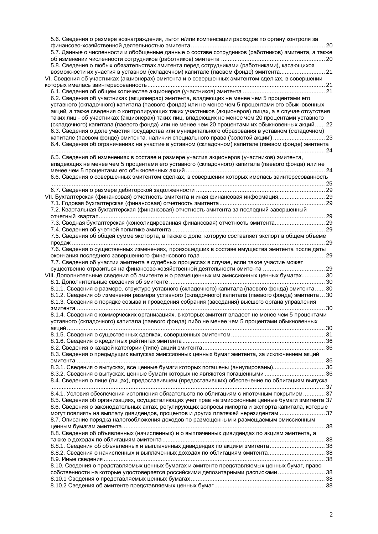| 5.6. Сведения о размере вознаграждения, льгот и/или компенсации расходов по органу контроля за<br>5.7. Данные о численности и обобщенные данные о составе сотрудников (работников) эмитента, а также<br>5.8. Сведения о любых обязательствах эмитента перед сотрудниками (работниками), касающихся<br>возможности их участия в уставном (складочном) капитале (паевом фонде) эмитента 21<br>VI. Сведения об участниках (акционерах) эмитента и о совершенных эмитентом сделках, в совершении<br>6.2. Сведения об участниках (акционерах) эмитента, владеющих не менее чем 5 процентами его<br>уставного (складочного) капитала (паевого фонда) или не менее чем 5 процентами его обыкновенных<br>акций, а также сведения о контролирующих таких участников (акционеров) лицах, а в случае отсутствия<br>таких лиц - об участниках (акционерах) таких лиц, владеющих не менее чем 20 процентами уставного<br>(складочного) капитала (паевого фонда) или не менее чем 20 процентами их обыкновенных акций 22<br>6.3. Сведения о доле участия государства или муниципального образования в уставном (складочном)<br>капитале (паевом фонде) эмитента, наличии специального права ('золотой акции') 23<br>6.4. Сведения об ограничениях на участие в уставном (складочном) капитале (паевом фонде) эмитента |  |
|---------------------------------------------------------------------------------------------------------------------------------------------------------------------------------------------------------------------------------------------------------------------------------------------------------------------------------------------------------------------------------------------------------------------------------------------------------------------------------------------------------------------------------------------------------------------------------------------------------------------------------------------------------------------------------------------------------------------------------------------------------------------------------------------------------------------------------------------------------------------------------------------------------------------------------------------------------------------------------------------------------------------------------------------------------------------------------------------------------------------------------------------------------------------------------------------------------------------------------------------------------------------------------------------------------|--|
| 6.5. Сведения об изменениях в составе и размере участия акционеров (участников) эмитента,                                                                                                                                                                                                                                                                                                                                                                                                                                                                                                                                                                                                                                                                                                                                                                                                                                                                                                                                                                                                                                                                                                                                                                                                               |  |
| владеющих не менее чем 5 процентами его уставного (складочного) капитала (паевого фонда) или не                                                                                                                                                                                                                                                                                                                                                                                                                                                                                                                                                                                                                                                                                                                                                                                                                                                                                                                                                                                                                                                                                                                                                                                                         |  |
|                                                                                                                                                                                                                                                                                                                                                                                                                                                                                                                                                                                                                                                                                                                                                                                                                                                                                                                                                                                                                                                                                                                                                                                                                                                                                                         |  |
| 6.6. Сведения о совершенных эмитентом сделках, в совершении которых имелась заинтересованность                                                                                                                                                                                                                                                                                                                                                                                                                                                                                                                                                                                                                                                                                                                                                                                                                                                                                                                                                                                                                                                                                                                                                                                                          |  |
|                                                                                                                                                                                                                                                                                                                                                                                                                                                                                                                                                                                                                                                                                                                                                                                                                                                                                                                                                                                                                                                                                                                                                                                                                                                                                                         |  |
|                                                                                                                                                                                                                                                                                                                                                                                                                                                                                                                                                                                                                                                                                                                                                                                                                                                                                                                                                                                                                                                                                                                                                                                                                                                                                                         |  |
| VII. Бухгалтерская (финансовая) отчетность эмитента и иная финансовая информация 29                                                                                                                                                                                                                                                                                                                                                                                                                                                                                                                                                                                                                                                                                                                                                                                                                                                                                                                                                                                                                                                                                                                                                                                                                     |  |
|                                                                                                                                                                                                                                                                                                                                                                                                                                                                                                                                                                                                                                                                                                                                                                                                                                                                                                                                                                                                                                                                                                                                                                                                                                                                                                         |  |
| 7.2. Квартальная бухгалтерская (финансовая) отчетность эмитента за последний завершенный                                                                                                                                                                                                                                                                                                                                                                                                                                                                                                                                                                                                                                                                                                                                                                                                                                                                                                                                                                                                                                                                                                                                                                                                                |  |
|                                                                                                                                                                                                                                                                                                                                                                                                                                                                                                                                                                                                                                                                                                                                                                                                                                                                                                                                                                                                                                                                                                                                                                                                                                                                                                         |  |
| 7.3. Сводная бухгалтерская (консолидированная финансовая) отчетность эмитента 29                                                                                                                                                                                                                                                                                                                                                                                                                                                                                                                                                                                                                                                                                                                                                                                                                                                                                                                                                                                                                                                                                                                                                                                                                        |  |
|                                                                                                                                                                                                                                                                                                                                                                                                                                                                                                                                                                                                                                                                                                                                                                                                                                                                                                                                                                                                                                                                                                                                                                                                                                                                                                         |  |
| 7.5. Сведения об общей сумме экспорта, а также о доле, которую составляет экспорт в общем объеме                                                                                                                                                                                                                                                                                                                                                                                                                                                                                                                                                                                                                                                                                                                                                                                                                                                                                                                                                                                                                                                                                                                                                                                                        |  |
| 7.6. Сведения о существенных изменениях, произошедших в составе имущества эмитента после даты                                                                                                                                                                                                                                                                                                                                                                                                                                                                                                                                                                                                                                                                                                                                                                                                                                                                                                                                                                                                                                                                                                                                                                                                           |  |
|                                                                                                                                                                                                                                                                                                                                                                                                                                                                                                                                                                                                                                                                                                                                                                                                                                                                                                                                                                                                                                                                                                                                                                                                                                                                                                         |  |
| 7.7. Сведения об участии эмитента в судебных процессах в случае, если такое участие может                                                                                                                                                                                                                                                                                                                                                                                                                                                                                                                                                                                                                                                                                                                                                                                                                                                                                                                                                                                                                                                                                                                                                                                                               |  |
| существенно отразиться на финансово-хозяйственной деятельности эмитента  29                                                                                                                                                                                                                                                                                                                                                                                                                                                                                                                                                                                                                                                                                                                                                                                                                                                                                                                                                                                                                                                                                                                                                                                                                             |  |
| VIII. Дополнительные сведения об эмитенте и о размещенных им эмиссионных ценных бумагах 30                                                                                                                                                                                                                                                                                                                                                                                                                                                                                                                                                                                                                                                                                                                                                                                                                                                                                                                                                                                                                                                                                                                                                                                                              |  |
|                                                                                                                                                                                                                                                                                                                                                                                                                                                                                                                                                                                                                                                                                                                                                                                                                                                                                                                                                                                                                                                                                                                                                                                                                                                                                                         |  |
| 8.1.1. Сведения о размере, структуре уставного (складочного) капитала (паевого фонда) эмитента 30                                                                                                                                                                                                                                                                                                                                                                                                                                                                                                                                                                                                                                                                                                                                                                                                                                                                                                                                                                                                                                                                                                                                                                                                       |  |
| 8.1.2. Сведения об изменении размера уставного (складочного) капитала (паевого фонда) эмитента 30                                                                                                                                                                                                                                                                                                                                                                                                                                                                                                                                                                                                                                                                                                                                                                                                                                                                                                                                                                                                                                                                                                                                                                                                       |  |
| 8.1.3. Сведения о порядке созыва и проведения собрания (заседания) высшего органа управления                                                                                                                                                                                                                                                                                                                                                                                                                                                                                                                                                                                                                                                                                                                                                                                                                                                                                                                                                                                                                                                                                                                                                                                                            |  |
|                                                                                                                                                                                                                                                                                                                                                                                                                                                                                                                                                                                                                                                                                                                                                                                                                                                                                                                                                                                                                                                                                                                                                                                                                                                                                                         |  |
| 8.1.4. Сведения о коммерческих организациях, в которых эмитент владеет не менее чем 5 процентами<br>уставного (складочного) капитала (паевого фонда) либо не менее чем 5 процентами обыкновенных                                                                                                                                                                                                                                                                                                                                                                                                                                                                                                                                                                                                                                                                                                                                                                                                                                                                                                                                                                                                                                                                                                        |  |
|                                                                                                                                                                                                                                                                                                                                                                                                                                                                                                                                                                                                                                                                                                                                                                                                                                                                                                                                                                                                                                                                                                                                                                                                                                                                                                         |  |
|                                                                                                                                                                                                                                                                                                                                                                                                                                                                                                                                                                                                                                                                                                                                                                                                                                                                                                                                                                                                                                                                                                                                                                                                                                                                                                         |  |
|                                                                                                                                                                                                                                                                                                                                                                                                                                                                                                                                                                                                                                                                                                                                                                                                                                                                                                                                                                                                                                                                                                                                                                                                                                                                                                         |  |
| 8.3. Сведения о предыдущих выпусках эмиссионных ценных бумаг эмитента, за исключением акций                                                                                                                                                                                                                                                                                                                                                                                                                                                                                                                                                                                                                                                                                                                                                                                                                                                                                                                                                                                                                                                                                                                                                                                                             |  |
|                                                                                                                                                                                                                                                                                                                                                                                                                                                                                                                                                                                                                                                                                                                                                                                                                                                                                                                                                                                                                                                                                                                                                                                                                                                                                                         |  |
| 8.3.1. Сведения о выпусках, все ценные бумаги которых погашены (аннулированы) 36                                                                                                                                                                                                                                                                                                                                                                                                                                                                                                                                                                                                                                                                                                                                                                                                                                                                                                                                                                                                                                                                                                                                                                                                                        |  |
| 8.3.2. Сведения о выпусках, ценные бумаги которых не являются погашенными  36                                                                                                                                                                                                                                                                                                                                                                                                                                                                                                                                                                                                                                                                                                                                                                                                                                                                                                                                                                                                                                                                                                                                                                                                                           |  |
| 8.4. Сведения о лице (лицах), предоставившем (предоставивших) обеспечение по облигациям выпуска                                                                                                                                                                                                                                                                                                                                                                                                                                                                                                                                                                                                                                                                                                                                                                                                                                                                                                                                                                                                                                                                                                                                                                                                         |  |
|                                                                                                                                                                                                                                                                                                                                                                                                                                                                                                                                                                                                                                                                                                                                                                                                                                                                                                                                                                                                                                                                                                                                                                                                                                                                                                         |  |
| 8.4.1. Условия обеспечения исполнения обязательств по облигациям с ипотечным покрытием 37                                                                                                                                                                                                                                                                                                                                                                                                                                                                                                                                                                                                                                                                                                                                                                                                                                                                                                                                                                                                                                                                                                                                                                                                               |  |
| 8.5. Сведения об организациях, осуществляющих учет прав на эмиссионные ценные бумаги эмитента 37                                                                                                                                                                                                                                                                                                                                                                                                                                                                                                                                                                                                                                                                                                                                                                                                                                                                                                                                                                                                                                                                                                                                                                                                        |  |
| 8.6. Сведения о законодательных актах, регулирующих вопросы импорта и экспорта капитала, которые                                                                                                                                                                                                                                                                                                                                                                                                                                                                                                                                                                                                                                                                                                                                                                                                                                                                                                                                                                                                                                                                                                                                                                                                        |  |
| могут повлиять на выплату дивидендов, процентов и других платежей нерезидентам  37                                                                                                                                                                                                                                                                                                                                                                                                                                                                                                                                                                                                                                                                                                                                                                                                                                                                                                                                                                                                                                                                                                                                                                                                                      |  |
| 8.7. Описание порядка налогообложения доходов по размещенным и размещаемым эмиссионным                                                                                                                                                                                                                                                                                                                                                                                                                                                                                                                                                                                                                                                                                                                                                                                                                                                                                                                                                                                                                                                                                                                                                                                                                  |  |
|                                                                                                                                                                                                                                                                                                                                                                                                                                                                                                                                                                                                                                                                                                                                                                                                                                                                                                                                                                                                                                                                                                                                                                                                                                                                                                         |  |
| 8.8. Сведения об объявленных (начисленных) и о выплаченных дивидендах по акциям эмитента, а                                                                                                                                                                                                                                                                                                                                                                                                                                                                                                                                                                                                                                                                                                                                                                                                                                                                                                                                                                                                                                                                                                                                                                                                             |  |
|                                                                                                                                                                                                                                                                                                                                                                                                                                                                                                                                                                                                                                                                                                                                                                                                                                                                                                                                                                                                                                                                                                                                                                                                                                                                                                         |  |
| 8.8.1. Сведения об объявленных и выплаченных дивидендах по акциям эмитента 38                                                                                                                                                                                                                                                                                                                                                                                                                                                                                                                                                                                                                                                                                                                                                                                                                                                                                                                                                                                                                                                                                                                                                                                                                           |  |
| 8.8.2. Сведения о начисленных и выплаченных доходах по облигациям эмитента 38                                                                                                                                                                                                                                                                                                                                                                                                                                                                                                                                                                                                                                                                                                                                                                                                                                                                                                                                                                                                                                                                                                                                                                                                                           |  |
| 8.10. Сведения о представляемых ценных бумагах и эмитенте представляемых ценных бумаг, право                                                                                                                                                                                                                                                                                                                                                                                                                                                                                                                                                                                                                                                                                                                                                                                                                                                                                                                                                                                                                                                                                                                                                                                                            |  |
| собственности на которые удостоверяется российскими депозитарными расписками  38                                                                                                                                                                                                                                                                                                                                                                                                                                                                                                                                                                                                                                                                                                                                                                                                                                                                                                                                                                                                                                                                                                                                                                                                                        |  |
|                                                                                                                                                                                                                                                                                                                                                                                                                                                                                                                                                                                                                                                                                                                                                                                                                                                                                                                                                                                                                                                                                                                                                                                                                                                                                                         |  |
|                                                                                                                                                                                                                                                                                                                                                                                                                                                                                                                                                                                                                                                                                                                                                                                                                                                                                                                                                                                                                                                                                                                                                                                                                                                                                                         |  |
|                                                                                                                                                                                                                                                                                                                                                                                                                                                                                                                                                                                                                                                                                                                                                                                                                                                                                                                                                                                                                                                                                                                                                                                                                                                                                                         |  |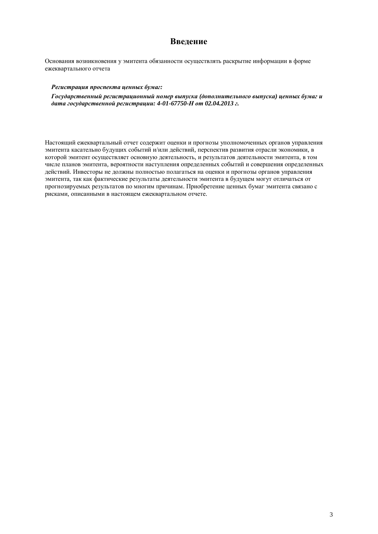# **Введение**

Основания возникновения у эмитента обязанности осуществлять раскрытие информации в форме ежеквартального отчета

#### Регистрация проспекта ценных бумаг:

 $\Gamma$ *осударственный регистрационный номер выпуска (дополнительного выпуска) иенных бумаг и*  $∂<sub>α</sub>$ *ma государственной регистрации: 4-01-67750-H от 02.04.2013 г.* 

Настоящий ежеквартальный отчет содержит оценки и прогнозы уполномоченных органов управления эмитента касательно булуших событий и/или лействий, перспектив развития отрасли экономики, в которой эмитент осуществляет основную деятельность, и результатов деятельности эмитента, в том числе планов эмитента, вероятности наступления определенных событий и совершения определенных действий. Инвесторы не должны полностью полагаться на оценки и прогнозы органов управления эмитента, так как фактические результаты деятельности эмитента в будущем могут отличаться от прогнозируемых результатов по многим причинам. Приобретение ценных бумаг эмитента связано с рисками, описанными в настоящем ежеквартальном отчете.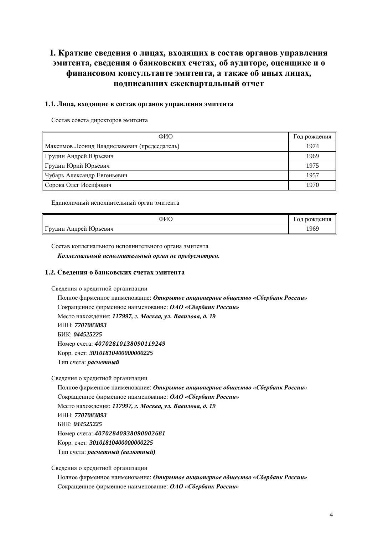# I. Краткие сведения о лицах, входящих в состав органов управления **умитента, сведения о банковских счетах, об аудиторе, оценщике и о**  $\phi$ инансовом консультанте эмитента, а также об иных лицах, подписавших ежеквартальный отчет

#### 1.1. Лица, входящие в состав органов управления эмитента

Состав совета директоров эмитента

| ФИО                                          | Год рождения |
|----------------------------------------------|--------------|
| Максимов Леонид Владиславович (председатель) | 1974         |
| Грудин Андрей Юрьевич                        | 1969         |
| Грудин Юрий Юрьевич                          | 1975         |
| Чубарь Александр Евгеньевич                  | 1957         |
| Сорока Олег Иосифович                        | 1970         |

Единоличный исполнительный орган эмитента

| ФИС                   | и рождения<br>ОД |
|-----------------------|------------------|
| Грудин Андрей Юрьевич | 1969             |

Состав коллегиального исполнительного органа эмитента

Коллегиальный исполнительный орган не предусмотрен.

#### 1.2. Сведения о банковских счетах эмитента

Свеления о крелитной организации

Полное фирменное наименование: Открытое акционерное общество «Сбербанк России» Сокращенное фирменное наименование: ОАО «Сбербанк России» Место нахождения: 117997, г. Москва, ул. Вавилова, д. 19 ɂɇɇ: *7707083893* ȻɂɄ: *044525225* ɇɨɦɟɪɫɱɟɬɚ: *40702810138090119249* Ʉɨɪɪ. ɫɱɟɬ: *30101810400000000225* Тип счета: расчетный

Сведения о кредитной организации

Полное фирменное наименование: Открытое акционерное общество «Сбербанк России» Сокращенное фирменное наименование: ОАО «Сбербанк России» Место нахождения: 117997, г. Москва, ул. Вавилова, д. 19 ɂɇɇ: *7707083893* ȻɂɄ: *044525225* ɇɨɦɟɪɫɱɟɬɚ: *40702840938090002681* Ʉɨɪɪ. ɫɱɟɬ: *30101810400000000225* Тип счета: расчетный (валютный)

Сведения о кредитной организации

Полное фирменное наименование: Открытое акционерное общество «Сбербанк России» Сокращенное фирменное наименование: ОАО «Сбербанк России»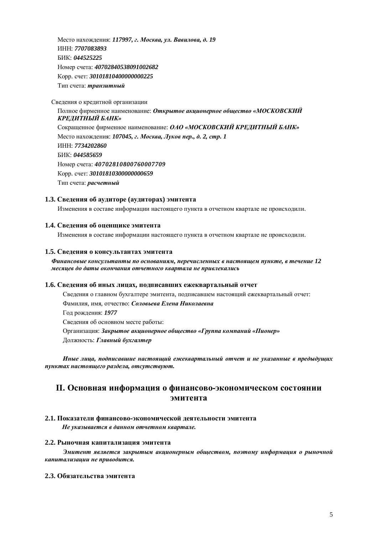Место нахождения: 117997, г. Москва, ул. Вавилова, д. 19 ɂɇɇ: *7707083893* БИК: 044525225 ɇɨɦɟɪɫɱɟɬɚ: *40702840538091002682* Ʉɨɪɪ. ɫɱɟɬ: *30101810400000000225*  Тип счета: *транзитный* 

Сведения о кредитной организации

Полное фирменное наименование: Открытое акционерное общество «МОСКОВСКИЙ КРЕДИТНЫЙ БАНК» Сокращенное фирменное наименование: ОАО «МОСКОВСКИЙ КРЕДИТНЫЙ БАНК» Место нахождения: 107045, г. Москва, Луков пер., д. 2, стр. 1 ɂɇɇ: *7734202860* ȻɂɄ: *044585659* ɇɨɦɟɪɫɱɟɬɚ: *40702810800760007709* Ʉɨɪɪ. ɫɱɟɬ: *30101810300000000659* Тип счета: расчетный

#### 1.3. Сведения об аудиторе (аудиторах) эмитента

Изменения в составе информации настоящего пункта в отчетном квартале не происходили.

#### 1.4. Сведения об оценщике эмитента

Изменения в составе информации настоящего пункта в отчетном квартале не происходили.

#### 1.5. Сведения о консультантах эмитента

#### *Ɏɢɧɚɧɫɨɜɵɟɤɨɧɫɭɥɶɬɚɧɬɵɩɨɨɫɧɨɜɚɧɢɹɦ, ɩɟɪɟɱɢɫɥɟɧɧɵɯɜɧɚɫɬɨɹɳɟɦɩɭɧɤɬɟ, ɜɬɟɱɟɧɢɟ 12 месяцев до даты окончания отчетного квартала не привлекались*

#### 1.6. Сведения об иных лицах, подписавших ежеквартальный отчет

Сведения о главном бухгалтере эмитента, подписавшем настоящий ежеквартальный отчет: Фамилия, имя, отчество: Соловьева Елена Николаевна Год рождения: 1977 Сведения об основном месте работы: Организация: Закрытое акционерное общество «Группа компаний «Пионер» Должность: Главный бухгалтер

Иные лица, подписавшие настоящий ежеквартальный отчет и не указанные в предыдущих  $ny$ нктах настоящего раздела, отсутствуют.

# **II. Основная информация о финансово-экономическом состоянии ЭМИТЕНТА**

#### 2.1. Показатели финансово-экономической деятельности эмитента

Не указывается в данном отчетном квартале.

#### **2.2. Рыночная капитализация эмитента**

Эмитент является закрытым акционерным обществом, поэтому информация о рыночной *ɤɚɩɢɬɚɥɢɡɚɰɢɢɧɟɩɪɢɜɨɞɢɬɫɹ.* 

#### 2.3. Обязательства эмитента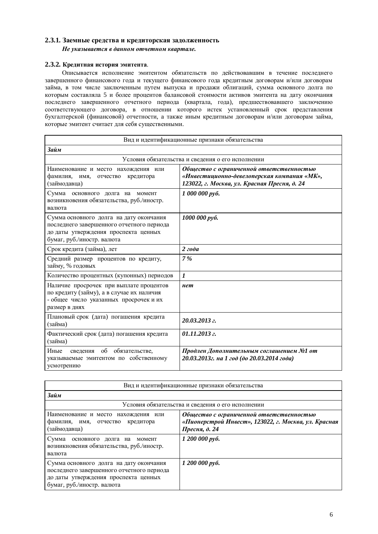#### 2.3.1. Заемные средства и кредиторская задолженность

Не указывается в данном отчетном квартале.

#### 2.3.2. Кредитная история эмитента.

Описывается исполнение эмитентом обязательств по действовавшим в течение последнего завершенного финансового года и текущего финансового года кредитным договорам и/или договорам займа, в том числе заключенным путем выпуска и продажи облигаций, сумма основного долга по которым составляла 5 и более процентов балансовой стоимости активов эмитента на дату окончания носледнего завершенного отчетного периода (квартала, года), предшествовавшего заключению соответствующего договора, в отношении которого истек установленный срок представления бухгалтерской (финансовой) отчетности, а также иным кредитным договорам и/или договорам займа, ɤɨɬɨɪɵɟɷɦɢɬɟɧɬɫɱɢɬɚɟɬɞɥɹɫɟɛɹɫɭɳɟɫɬɜɟɧɧɵɦɢ.

| Вид и идентификационные признаки обязательства                                                                                                             |                                                                                                                                         |  |  |  |
|------------------------------------------------------------------------------------------------------------------------------------------------------------|-----------------------------------------------------------------------------------------------------------------------------------------|--|--|--|
| Займ                                                                                                                                                       |                                                                                                                                         |  |  |  |
|                                                                                                                                                            | Условия обязательства и сведения о его исполнении                                                                                       |  |  |  |
| Наименование и место нахождения или<br>фамилия, имя,<br>отчество<br>кредитора<br>(займодавца)                                                              | Общество с ограниченной ответственностью<br>«Инвестиционно-девелоперская компания «МК»,<br>123022, г. Москва, ул. Красная Пресня, д. 24 |  |  |  |
| Сумма<br>основного долга на момент<br>возникновения обязательства, руб./иностр.<br>валюта                                                                  | 1 000 000 руб.                                                                                                                          |  |  |  |
| Сумма основного долга на дату окончания<br>последнего завершенного отчетного периода<br>до даты утверждения проспекта ценных<br>бумаг, руб./иностр. валюта | 1000 000 руб.                                                                                                                           |  |  |  |
| Срок кредита (займа), лет                                                                                                                                  | 2zoda                                                                                                                                   |  |  |  |
| Средний размер процентов по кредиту,<br>займу, % годовых                                                                                                   | 7%                                                                                                                                      |  |  |  |
| Количество процентных (купонных) периодов                                                                                                                  | $\boldsymbol{l}$                                                                                                                        |  |  |  |
| Наличие просрочек при выплате процентов<br>по кредиту (займу), а в случае их наличия<br>- общее число указанных просрочек и их<br>размер в днях            | нет                                                                                                                                     |  |  |  |
| Плановый срок (дата) погашения кредита<br>(займа)                                                                                                          | 20.03.2013 г.                                                                                                                           |  |  |  |
| Фактический срок (дата) погашения кредита<br>(займа)                                                                                                       | 01.11.2013 г.                                                                                                                           |  |  |  |
| обязательстве,<br>Иные<br>об<br>сведения<br>указываемые эмитентом по собственному<br>усмотрению                                                            | Продлен Дополнительным соглашением №1 от<br>20.03.2013г. на 1 год (до 20.03.2014 года)                                                  |  |  |  |

| Вид и идентификационные признаки обязательства                                                                                                             |                                                                                                                   |  |  |
|------------------------------------------------------------------------------------------------------------------------------------------------------------|-------------------------------------------------------------------------------------------------------------------|--|--|
| Займ                                                                                                                                                       |                                                                                                                   |  |  |
| Условия обязательства и сведения о его исполнении                                                                                                          |                                                                                                                   |  |  |
| Наименование и место нахождения или<br>фамилия, имя, отчество кредитора<br>(займодавца)                                                                    | Общество с ограниченной ответственностью<br>«Пионерстрой Инвест», 123022, г. Москва, ул. Красная<br>Пресня, д. 24 |  |  |
| Сумма<br>основного долга на момент<br>возникновения обязательства, руб./иностр.<br>валюта                                                                  | 1 200 000 руб.                                                                                                    |  |  |
| Сумма основного долга на дату окончания<br>последнего завершенного отчетного периода<br>до даты утверждения проспекта ценных<br>бумаг, руб./иностр. валюта | 1 200 000 руб.                                                                                                    |  |  |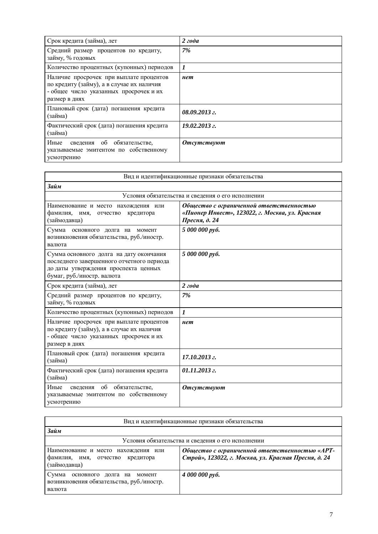| Срок кредита (займа), лет                                                                                                                       | 2zoda              |
|-------------------------------------------------------------------------------------------------------------------------------------------------|--------------------|
| Средний размер процентов по кредиту,<br>займу, % годовых                                                                                        | 7%                 |
|                                                                                                                                                 |                    |
| Количество процентных (купонных) периодов                                                                                                       | $\boldsymbol{l}$   |
| Наличие просрочек при выплате процентов<br>по кредиту (займу), а в случае их наличия<br>- общее число указанных просрочек и их<br>размер в днях | нет                |
| Плановый срок (дата) погашения кредита<br>(займа)                                                                                               | $08.09.2013$ z.    |
| Фактический срок (дата) погашения кредита<br>(займа)                                                                                            | $19.02.2013$ a.    |
| Иные<br>сведения об обязательстве,<br>указываемые эмитентом по собственному<br>усмотрению                                                       | <b>Отсутствуют</b> |

| Вид и идентификационные признаки обязательства                                                                                                             |                                                                                                              |  |
|------------------------------------------------------------------------------------------------------------------------------------------------------------|--------------------------------------------------------------------------------------------------------------|--|
| Займ                                                                                                                                                       |                                                                                                              |  |
|                                                                                                                                                            | Условия обязательства и сведения о его исполнении                                                            |  |
| Наименование и место нахождения или<br>фамилия,<br>имя,<br>кредитора<br>отчество<br>(займодавца)                                                           | Общество с ограниченной ответственностью<br>«Пионер Инвест», 123022, г. Москва, ул. Красная<br>Пресня, д. 24 |  |
| Сумма основного долга на момент<br>возникновения обязательства, руб./иностр.<br>валюта                                                                     | 5 000 000 pyő.                                                                                               |  |
| Сумма основного долга на дату окончания<br>последнего завершенного отчетного периода<br>до даты утверждения проспекта ценных<br>бумаг, руб./иностр. валюта | 5 000 000 pyó.                                                                                               |  |
| Срок кредита (займа), лет                                                                                                                                  | 2zoda                                                                                                        |  |
| Средний размер процентов по кредиту,<br>займу, % годовых                                                                                                   | 7%                                                                                                           |  |
| Количество процентных (купонных) периодов                                                                                                                  | $\boldsymbol{l}$                                                                                             |  |
| Наличие просрочек при выплате процентов<br>по кредиту (займу), а в случае их наличия<br>- общее число указанных просрочек и их<br>размер в днях            | нет                                                                                                          |  |
| Плановый срок (дата) погашения кредита<br>(займа)                                                                                                          | $17.10.2013$ $z$ .                                                                                           |  |
| Фактический срок (дата) погашения кредита<br>(займа)                                                                                                       | $01.11.2013$ $z$ .                                                                                           |  |
| Иные<br>об<br>обязательстве.<br>сведения<br>указываемые эмитентом по собственному<br>усмотрению                                                            | <b>Отсутствуют</b>                                                                                           |  |

| Вид и идентификационные признаки обязательства                                                                                                                                                    |                |  |  |
|---------------------------------------------------------------------------------------------------------------------------------------------------------------------------------------------------|----------------|--|--|
| Займ                                                                                                                                                                                              |                |  |  |
| Условия обязательства и сведения о его исполнении                                                                                                                                                 |                |  |  |
| Общество с ограниченной ответственностью «АРТ-<br>Наименование и место нахождения или<br>Строй», 123022, г. Москва, ул. Красная Пресня, д. 24<br>фамилия, имя, отчество кредитора<br>(займодавца) |                |  |  |
| Сумма<br>основного долга на момент<br>возникновения обязательства, руб./иностр.<br>валюта                                                                                                         | 4 000 000 py6. |  |  |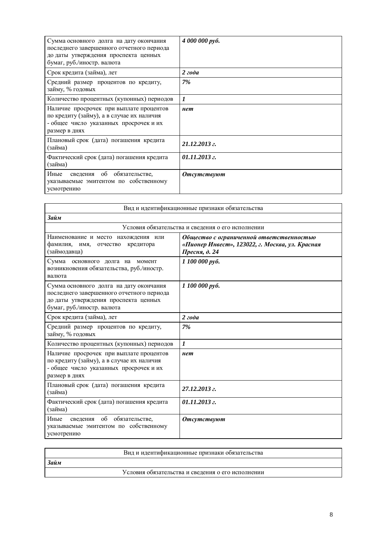| Сумма основного долга на дату окончания<br>последнего завершенного отчетного периода<br>до даты утверждения проспекта ценных<br>бумаг, руб./иностр. валюта | 4 000 000 py6.     |
|------------------------------------------------------------------------------------------------------------------------------------------------------------|--------------------|
| Срок кредита (займа), лет                                                                                                                                  | 2zoda              |
| Средний размер процентов по кредиту,<br>займу, % годовых                                                                                                   | 7%                 |
| Количество процентных (купонных) периодов                                                                                                                  | 1                  |
| Наличие просрочек при выплате процентов<br>по кредиту (займу), а в случае их наличия<br>- общее число указанных просрочек и их<br>размер в днях            | нет                |
| Плановый срок (дата) погашения кредита<br>(займа)                                                                                                          | 21.12.2013 г.      |
| Фактический срок (дата) погашения кредита<br>(займа)                                                                                                       | $01.11.2013$ $z$ . |
| Иные<br>сведения об обязательстве,<br>указываемые эмитентом по собственному<br>усмотрению                                                                  | <b>Отсутствуют</b> |

| Вид и идентификационные признаки обязательства                                                                                                             |                                                                                                              |  |
|------------------------------------------------------------------------------------------------------------------------------------------------------------|--------------------------------------------------------------------------------------------------------------|--|
| Займ                                                                                                                                                       |                                                                                                              |  |
|                                                                                                                                                            | Условия обязательства и сведения о его исполнении                                                            |  |
| Наименование и место нахождения или<br>фамилия, имя,<br>отчество<br>кредитора<br>(займодавца)                                                              | Общество с ограниченной ответственностью<br>«Пионер Инвест», 123022, г. Москва, ул. Красная<br>Пресня, д. 24 |  |
| Сумма основного долга на момент<br>возникновения обязательства, руб./иностр.<br>валюта                                                                     | 1 100 000 руб.                                                                                               |  |
| Сумма основного долга на дату окончания<br>последнего завершенного отчетного периода<br>до даты утверждения проспекта ценных<br>бумаг, руб./иностр. валюта | 1 100 000 руб.                                                                                               |  |
| Срок кредита (займа), лет                                                                                                                                  | 2zoda                                                                                                        |  |
| Средний размер процентов по кредиту,<br>займу, % годовых                                                                                                   | 7%                                                                                                           |  |
| Количество процентных (купонных) периодов                                                                                                                  | $\boldsymbol{l}$                                                                                             |  |
| Наличие просрочек при выплате процентов<br>по кредиту (займу), а в случае их наличия<br>- общее число указанных просрочек и их<br>размер в днях            | нет                                                                                                          |  |
| Плановый срок (дата) погашения кредита<br>(займа)                                                                                                          | 27.12.2013 г.                                                                                                |  |
| Фактический срок (дата) погашения кредита<br>(займа)                                                                                                       | 01.11.2013 г.                                                                                                |  |
| Иные<br>обязательстве,<br>$\overline{00}$<br>сведения<br>указываемые эмитентом по собственному<br>усмотрению                                               | <b>Отсутствуют</b>                                                                                           |  |

|      | Вид и идентификационные признаки обязательства    |
|------|---------------------------------------------------|
| Займ |                                                   |
|      | Условия обязательства и сведения о его исполнении |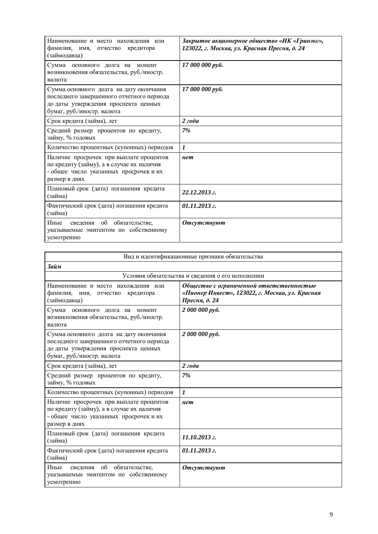| Наименование и место нахождения или<br>фамилия, имя, отчество<br>кредитора<br>(займодавца)                                                                 | Закрытое акционерное общество «ИК «Гринэкс»,<br>123022, г. Москва, ул. Красная Пресня, д. 24 |
|------------------------------------------------------------------------------------------------------------------------------------------------------------|----------------------------------------------------------------------------------------------|
| Сумма основного долга на момент<br>возникновения обязательства, руб./иностр.<br>валюта                                                                     | 17 000 000 руб.                                                                              |
| Сумма основного долга на дату окончания<br>последнего завершенного отчетного периода<br>до даты утверждения проспекта ценных<br>бумаг, руб./иностр. валюта | 17 000 000 руб.                                                                              |
| Срок кредита (займа), лет                                                                                                                                  | 2zoda                                                                                        |
| Средний размер процентов по кредиту,<br>займу, % годовых                                                                                                   | 7%                                                                                           |
| Количество процентных (купонных) периодов                                                                                                                  | $\boldsymbol{l}$                                                                             |
| Наличие просрочек при выплате процентов<br>по кредиту (займу), а в случае их наличия<br>- общее число указанных просрочек и их<br>размер в днях            | нет                                                                                          |
| Плановый срок (дата) погашения кредита<br>(займа)                                                                                                          | 22.12.2013 г.                                                                                |
| Фактический срок (дата) погашения кредита<br>(займа)                                                                                                       | 01.11.2013 г.                                                                                |
| Иные<br>обязательстве.<br>об<br>сведения<br>указываемые эмитентом по собственному<br>усмотрению                                                            | <b>Отсутствуют</b>                                                                           |

| Вид и идентификационные признаки обязательства                                                                                                             |                                                                                                              |  |
|------------------------------------------------------------------------------------------------------------------------------------------------------------|--------------------------------------------------------------------------------------------------------------|--|
| Займ                                                                                                                                                       |                                                                                                              |  |
|                                                                                                                                                            | Условия обязательства и сведения о его исполнении                                                            |  |
| Наименование и место нахождения или<br>фамилия, имя,<br>отчество<br>кредитора<br>(займодавца)                                                              | Общество с ограниченной ответственностью<br>«Пионер Инвест», 123022, г. Москва, ул. Красная<br>Пресня, д. 24 |  |
| Сумма основного долга на момент<br>возникновения обязательства, руб./иностр.<br>валюта                                                                     | 2 000 000 py6.                                                                                               |  |
| Сумма основного долга на дату окончания<br>последнего завершенного отчетного периода<br>до даты утверждения проспекта ценных<br>бумаг, руб./иностр. валюта | 2 000 000 py6.                                                                                               |  |
| Срок кредита (займа), лет                                                                                                                                  | 2zoda                                                                                                        |  |
| Средний размер процентов по кредиту,<br>займу, % годовых                                                                                                   | 7%                                                                                                           |  |
| Количество процентных (купонных) периодов                                                                                                                  | $\boldsymbol{l}$                                                                                             |  |
| Наличие просрочек при выплате процентов<br>по кредиту (займу), а в случае их наличия<br>- общее число указанных просрочек и их<br>размер в днях            | нет                                                                                                          |  |
| Плановый срок (дата) погашения кредита<br>(займа)                                                                                                          | $11.10.2013$ z.                                                                                              |  |
| Фактический срок (дата) погашения кредита<br>(займа)                                                                                                       | $01.11.2013$ z.                                                                                              |  |
| Иные<br>об обязательстве,<br><b>Отсутствуют</b><br>сведения<br>указываемые эмитентом по собственному<br>усмотрению                                         |                                                                                                              |  |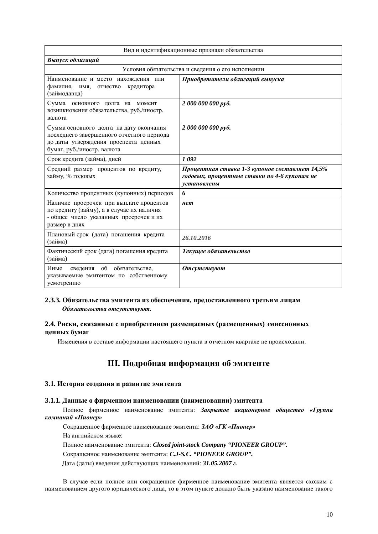| Вид и идентификационные признаки обязательства                                                                                                             |                                                                                                               |  |
|------------------------------------------------------------------------------------------------------------------------------------------------------------|---------------------------------------------------------------------------------------------------------------|--|
| Выпуск облигаций                                                                                                                                           |                                                                                                               |  |
|                                                                                                                                                            | Условия обязательства и сведения о его исполнении                                                             |  |
| Наименование и место нахождения или<br>фамилия, имя, отчество<br>кредитора<br>(займодавца)                                                                 | Приобретатели облигаций выпуска                                                                               |  |
| Сумма<br>основного долга на момент<br>возникновения обязательства, руб./иностр.<br>валюта                                                                  | 2 000 000 000 pyő.                                                                                            |  |
| Сумма основного долга на дату окончания<br>последнего завершенного отчетного периода<br>до даты утверждения проспекта ценных<br>бумаг, руб./иностр. валюта | 2 000 000 000 руб.                                                                                            |  |
| Срок кредита (займа), дней<br>1092                                                                                                                         |                                                                                                               |  |
| Средний размер процентов по кредиту,<br>займу, % годовых                                                                                                   | Процентная ставка 1-3 купонов составляет 14,5%<br>годовых, процентные ставки по 4-6 купонам не<br>установлены |  |
| Количество процентных (купонных) периодов                                                                                                                  | 6                                                                                                             |  |
| Наличие просрочек при выплате процентов<br>по кредиту (займу), а в случае их наличия<br>- общее число указанных просрочек и их<br>размер в днях            | нет                                                                                                           |  |
| Плановый срок (дата) погашения кредита<br>(займа)                                                                                                          | 26.10.2016                                                                                                    |  |
| Фактический срок (дата) погашения кредита<br>(займа)                                                                                                       | Текущее обязательство                                                                                         |  |
| сведения об обязательстве,<br>Иные<br>указываемые эмитентом по собственному<br>усмотрению                                                                  | <b>Отсутствуют</b>                                                                                            |  |

#### 2.3.3. Обязательства эмитента из обеспечения, предоставленного третьим лицам Обязательства отсутствуют.

### 2.4. Риски, связанные с приобретением размещаемых (размещенных) эмиссионных **ценных бумаг**

Изменения в составе информации настоящего пункта в отчетном квартале не происходили.

# **III.** Подробная информация об эмитенте

#### 3.1. История создания и развитие эмитента

#### 3.1.1. Данные о фирменном наименовании (наименовании) эмитента

Полное фирменное наименование эмитента: Закрытое акционерное общество «Группа  $$ 

Сокращенное фирменное наименование эмитента: ЗАО «ГК «Пионер»

На английском языке:

Полное наименование эмитента: Closed joint-stock Company "PIONEER GROUP".

Сокращенное наименование эмитента: *C.J-S.C. "PIONEER GROUP"*.

Дата (даты) введения действующих наименований: 31.05.2007 г.

В случае если полное или сокращенное фирменное наименование эмитента является схожим с наименованием другого юридического лица, то в этом пункте должно быть указано наименование такого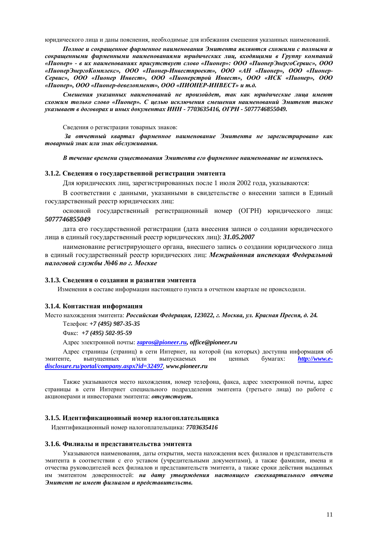юридического лица и даны пояснения, необходимые для избежания смешения указанных наименований.

Полное и сокращенное фирменное наименования Эмитента являются схожими с полными и сокращенными фирменными наименованиями юридических лиц, входящими в Группу компаний *©ɉɢɨɧɟɪ» - ɜ ɢɯɧɚɢɦɟɧɨɜɚɧɢɹɯɩɪɢɫɭɬɫɬɜɭɟɬ ɫɥɨɜɨ «ɉɢɨɧɟɪ»: ɈɈɈ «ɉɢɨɧɟɪɗɧɟɪɝɨɋɟɪɜɢɫ», ɈɈɈ* «ПионерЭнергоКомплекс», ООО «Пионер-Инвестпроект», ООО «АН «Пионер», ООО «Пионер- $Cepsucc$ ,  $OOO$  «Пионер Инвест»,  $OOO$  «Пионерстрой Инвест»,  $OOO$  «ИСК «Пионер»,  $OOO$ «Пионер», ООО «Пионер-девелопмент», ООО «ПИОНЕР-ИНВЕСТ» и т.д.

Смешения указанных наименований не произойдет, так как юридические лииа имеют схожим только слово «Пионер». С целью исключения смешения наименований Эмитент также  $y$ казывает в договорах и иных документах ИНН - 7703635416, ОГРН - 5077746855049.

Сведения о регистрации товарных знаков:

За отчетный квартал фирменное наименование Эмитента не зарегистрировано как  $m$ *оварный знак или знак обслуживания.* 

В течение времени существования Эмитента его фирменное наименование не изменялось.

#### 3.1.2. Свеления о госуларственной регистрации эмитента

Для юридических лиц, зарегистрированных после 1 июля 2002 года, указываются:

В соответствии с данными, указанными в свидетельстве о внесении записи в Единый государственный реестр юридических лиц:

основной государственный регистрационный номер (ОГРН) юридического лица: *5077746855049* 

дата его государственной регистрации (дата внесения записи о создании юридического лица в единый государственный реестр юридических лиц): 31.05.2007

наименование регистрирующего органа, внесшего запись о создании юридического лица в единый государственный реестр юридических лиц: Межрайонная инспекция Федеральной  $H\alpha$ логовой службы №46 по г. Москве

#### 3.1.3. Сведения о создании и развитии эмитента

Изменения в составе информации настоящего пункта в отчетном квартале не происходили.

#### 3.1.4. Контактная информация

Место нахождения эмитента: Российская Федерация, 123022, г. Москва, ул. Красная Пресня, д. 24.

Телефон: +7 (495) 987-35-35

Ɏɚɤɫ: *+7 (495) 502-95-59*

Адрес электронной почты: zapros@pioneer.ru, office@pioneer.ru

Адрес страницы (страниц) в сети Интернет, на которой (на которых) доступна информация об эмитенте, выпущенных и/или выпускаемых им ценных бумагах: http://www.e*disclosure.ru/portal/company.aspx?id=32497*, *www.pioneer.ru* 

Также указываются место нахождения, номер телефона, факса, адрес электронной почты, адрес страницы в сети Интернет специального подразделения эмитента (третьего лица) по работе с акционерами и инвесторами эмитента: **отсутствует.** 

#### 3.1.5. Идентификационный номер налогоплательщика

Идентификационный номер налогоплательщика: 7703635416

#### 3.1.6. Филиалы и представительства эмитента

Указываются наименования, даты открытия, места нахождения всех филиалов и представительств эмитента в соответствии с его уставом (учредительными документами), а также фамилии, имена и отчества руководителей всех филиалов и представительств эмитента, а также сроки действия выданных им эмитентом доверенностей: на дату утверждения настоящего ежеквартального отчета Эмитент не имеет филиалов и представительств.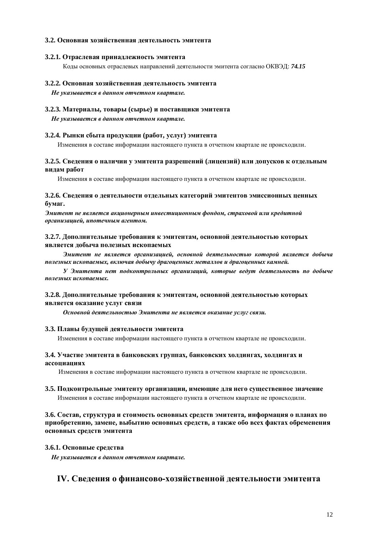#### 3.2. Основная хозяйственная деятельность эмитента

#### 3.2.1. Отраслевая принадлежность эмитента

Коды основных отраслевых направлений деятельности эмитента согласно ОКВЭД: 74.15

#### 3.2.2. Основная хозяйственная деятельность эмитента

Не указывается в данном отчетном квартале.

#### 3.2.3. Материалы, товары (сырье) и поставщики эмитента

Не указывается в данном отчетном квартале.

#### 3.2.4. Рынки сбыта продукции (работ, услуг) эмитента

Изменения в составе информации настоящего пункта в отчетном квартале не происходили.

#### 3.2.5. Сведения о наличии у эмитента разрешений (лицензий) или допусков к отдельным **видам** работ

Изменения в составе информации настоящего пункта в отчетном квартале не происходили.

#### 3.2.6. Сведения о деятельности отдельных категорий эмитентов эмиссионных ценных **бумаг.**

Эмитент не является акционерным инвестиционным фондом, страховой или кредитной  $\bm{p}$ *ганизацией, ипотечным агентом.* 

#### 3.2.7. Дополнительные требования к эмитентам, основной деятельностью которых является добыча полезных ископаемых

Эмитент не является организацией, основной деятельностью которой является добыча полезных ископаемых, включая добычу драгоценных металлов и драгоценных камней.

**У Эмитента нет подконтрольных организаций, которые ведут деятельность по добыче** полезных ископаемых.

#### 3.2.8. Дополнительные требования к эмитентам, основной деятельностью которых является оказание услуг связи

*Ɉɫɧɨɜɧɨɣɞɟɹɬɟɥɶɧɨɫɬɶɸɗɦɢɬɟɧɬɚɧɟɹɜɥɹɟɬɫɹɨɤɚɡɚɧɢɟɭɫɥɭɝɫɜɹɡɢ.* 

#### 3.3. Планы будущей деятельности эмитента

Изменения в составе информации настоящего пункта в отчетном квартале не происходили.

#### 3.4. Участие эмитента в банковских группах, банковских холдингах, холдингах и  $accouиau$ иях

Изменения в составе информации настоящего пункта в отчетном квартале не происходили.

#### 3.5. Подконтрольные эмитенту организации, имеющие для него существенное значение

Изменения в составе информации настоящего пункта в отчетном квартале не происходили.

#### 3.6. Состав, структура и стоимость основных средств эмитента, информация о планах по приобретению, замене, выбытию основных средств, а также обо всех фактах обременения **• основных средств эмитента**

#### 3.6.1. Основные средства

Не указывается в данном отчетном квартале.

# **IV. Сведения о финансово-хозяйственной деятельности эмитента**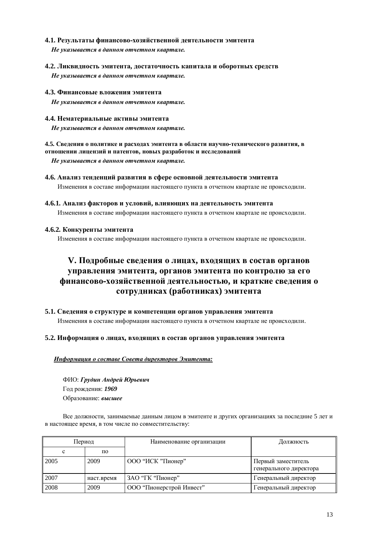#### 4.1. Результаты финансово-хозяйственной деятельности эмитента

Не указывается в данном отчетном квартале.

4.2. Ликвидность эмитента, достаточность капитала и оборотных средств Не указывается в данном отчетном квартале.

#### 4.3. Финансовые вложения эмитента

Не указывается в данном отчетном квартале.

#### 4.4. Нематериальные активы эмитента

Не указывается в данном отчетном квартале.

4.5. Сведения о политике и расходах эмитента в области научно-технического развития, в **этношении лицензий и патентов, новых разработок и исследований** 

Не указывается в данном отчетном квартале.

#### 4.6. Анализ тенденций развития в сфере основной деятельности эмитента

Изменения в составе информации настоящего пункта в отчетном квартале не происходили.

#### 4.6.1. Анализ факторов и условий, влияющих на деятельность эмитента

Изменения в составе информации настоящего пункта в отчетном квартале не происходили.

#### **4.6.2. Конкуренты эмитента**

Изменения в составе информации настоящего пункта в отчетном квартале не происходили.

# V. Подробные сведения о лицах, входящих в состав органов VIIDАВЛЕНИЯ ЭМИТЕНТА, ОРГАНОВ ЭМИТЕНТА ПО КОНТРОЛЮ ЗА ЕГО  $\phi$ инансово-хозяйственной деятельностью, и краткие сведения о  $\mathbf{r}$  сотрудниках (работниках) эмитента

5.1. Сведения о структуре и компетенции органов управления эмитента

Изменения в составе информации настоящего пункта в отчетном квартале не происходили.

#### 5.2. Информация о лицах, входящих в состав органов управления эмитента

Информация о составе Совета директоров Эмитента:

ɎɂɈ:*ȽɪɭɞɢɧȺɧɞɪɟɣɘɪɶɟɜɢɱ* Год рождения: 1969 Образование: высшее

Все должности, занимаемые данным лицом в эмитенте и других организациях за последние 5 лет и в настоящее время, в том числе по совместительству:

| Период |            | Наименование организации | Должность                                    |
|--------|------------|--------------------------|----------------------------------------------|
|        | по         |                          |                                              |
| 2005   | 2009       | ООО "ИСК "Пионер"        | Первый заместитель<br>генерального директора |
| 2007   | наст.время | ЗАО "ГК "Пионер"         | Генеральный директор                         |
| 2008   | 2009       | ООО "Пионерстрой Инвест" | Генеральный директор                         |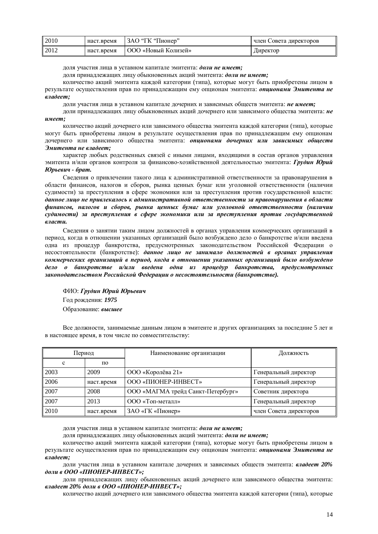| <b>2010</b> | наст.время | ЗАО "ГК "Пионер"           | член Совета директоров |
|-------------|------------|----------------------------|------------------------|
| 2012        | наст.время | <b>ООО «Новый Колизей»</b> | Директор               |

доля участия лица в уставном капитале эмитента: доли не имеет:

лоля принадлежащих лицу обыкновенных акций эмитента: доли не имеет;

количество акций эмитента каждой категории (типа), которые могут быть приобретены лицом в результате осуществления прав по принадлежащим ему опционам эмитента: *опционами Эмитента не владеет:* 

доли участия лица в уставном капитале дочерних и зависимых обществ эмитента: не имеет;

доли принадлежащих лицу обыкновенных акций дочернего или зависимого общества эмитента: не  $u$ *Meem*;

количество акций дочернего или зависимого общества эмитента каждой категории (типа), которые могут быть приобретены лицом в результате осуществления прав по принадлежащим ему опционам дочернего или зависимого общества эмитента: опционами дочерних или зависимых обществ Эмитента не владеет;

характер любых родственных связей с иными лицами, входящими в состав органов управления эмитента и/или органов контроля за финансово-хозяйственной деятельностью эмитента: Грудин Юрий  $IOp$ *<i>be*<sup>*8u*</sup> *+ брат.* 

Сведения о привлечении такого лица к административной ответственности за правонарушения в области финансов, налогов и сборов, рынка ценных бумаг или уголовной ответственности (наличии сулимости) за преступления в сфере экономики или за преступления против государственной власти: данное лицо не привлекалось к административной ответственности за правонарушения в области  $\phi$ инансов, налогов и сборов, рынка ценных бумаг или уголовной ответственности (наличии судимости) за преступления в сфере экономики или за преступления против государственной *власти*.

Сведения о занятии таким лицом должностей в органах управления коммерческих организаций в период, когда в отношении указанных организаций было возбуждено дело о банкротстве и/или введена одна из процедур банкротства, предусмотренных законодательством Российской Федерации о несостоятельности (банкротстве): данное лицо не занимало должностей в органах управления коммерческих организаций в период, когда в отношении указанных организаций было возбуждено дело о банкротстве и/или введена одна из процедур банкротства, предусмотренных законодательством Российской Федерации о несостоятельности (банкротстве).

 $\Phi$ ИО: Грудин Юрий Юрьевич Год рождения: 1975 **Образование: высшее** 

Все должности, занимаемые данным лицом в эмитенте и других организациях за последние 5 лет и в настоящее время, в том числе по совместительству:

| Период |            | Наименование организации          | Должность              |
|--------|------------|-----------------------------------|------------------------|
| c      | по         |                                   |                        |
| 2003   | 2009       | ООО «Королёва 21»                 | Генеральный директор   |
| 2006   | наст.время | ООО «ПИОНЕР-ИНВЕСТ»               | Генеральный директор   |
| 2007   | 2008       | ООО «МАГМА трейд Санкт-Петербург» | Советник директора     |
| 2007   | 2013       | ООО «Топ-металл»                  | Генеральный директор   |
| 2010   | наст.время | ЗАО «ГК «Пионер»                  | член Совета директоров |

доля участия лица в уставном капитале эмитента: доли не имеет;

доля принадлежащих лицу обыкновенных акций эмитента: доли не имеет;

количество акций эмитента каждой категории (типа), которые могут быть приобретены лицом в результате осуществления прав по принадлежащим ему опционам эмитента: *опционами Эмитента не владеет:* 

доли участия лица в уставном капитале лочерних и зависимых обшеств эмитента: *владеет 20%*  $\partial$ *оли в ООО* «ПИОНЕР-ИНВЕСТ»;

доли принадлежащих лицу обыкновенных акций дочернего или зависимого общества эмитента:  $\boldsymbol{\epsilon}$ ладеет 20% доли в ООО «ПИОНЕР-ИНВЕСТ»;

количество акций дочернего или зависимого общества эмитента каждой категории (типа), которые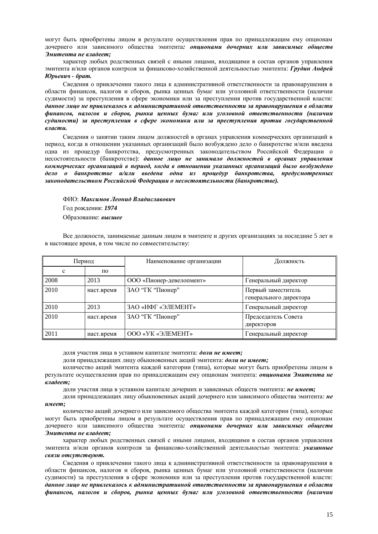могут быть приобретены лицом в результате осуществления прав по приналлежащим ему опционам дочернего или зависимого общества эмитента: опционами дочерних или зависимых обшеств  $\theta$ *Mumента не владеет:* 

характер любых родственных связей с иными лицами, входящими в состав органов управления эмитента и/или органов контроля за финансово-хозяйственной деятельностью эмитента: Грудин Андрей  $IOp$  *<i>EGBuvu* - брат.

Сведения о привлечении такого лица к административной ответственности за правонарушения в области финансов, налогов и сборов, рынка ценных бумаг или уголовной ответственности (наличии судимости) за преступления в сфере экономики или за преступления против государственной власти: данное лицо не привлекалось к административной ответственности за правонарушения в области  $\phi$ инансов, налогов и сборов, рынка ценных бумаг или уголовной ответственности (наличии судимости) за преступления в сфере экономики или за преступления против государственной *власти*.

Сведения о занятии таким лицом должностей в органах управления коммерческих организаций в период, когда в отношении указанных организаций было возбуждено дело о банкротстве и/или введена одна из процедур банкротства, предусмотренных законодательством Российской Федерации о несостоятельности (банкротстве): данное лицо не занимало должностей в органах управления коммерческих организаций в период, когда в отношении указанных организаций было возбуждено дело о банкротстве и/или введена одна из процедур банкротства, предусмотренных законодательством Российской Федерации о несостоятельности (банкротстве).

#### ɎɂɈ:*ɆɚɤɫɢɦɨɜɅɟɨɧɢɞȼɥɚɞɢɫɥɚɜɨɜɢɱ*

Гол рожления: 1974

#### Образование: высшее

Все должности, занимаемые данным лицом в эмитенте и других организациях за последние 5 лет и в настоящее время, в том числе по совместительству:

| Период      |            | Наименование организации | Должность                                    |
|-------------|------------|--------------------------|----------------------------------------------|
| $\mathbf c$ | по         |                          |                                              |
| 2008        | 2013       | ООО «Пионер-девелопмент» | Генеральный директор                         |
| 2010        | наст.время | ЗАО "ГК "Пионер"         | Первый заместитель<br>генерального директора |
| 2010        | 2013       | ЗАО «ИФГ «ЭЛЕМЕНТ»       | Генеральный директор                         |
| 2010        | наст.время | ЗАО "ГК "Пионер"         | Председатель Совета<br>директоров            |
| 2011        | наст.время | ООО «УК «ЭЛЕМЕНТ»        | Генеральный директор                         |

доля участия лица в уставном капитале эмитента: доли не имеет;

доля принадлежащих лицу обыкновенных акций эмитента: доли не имеет;

количество акций эмитента каждой категории (типа), которые могут быть приобретены лицом в результате осуществления прав по принадлежащим ему опционам эмитента: *опционами Эмитента не владеет;* 

доли участия лица в уставном капитале дочерних и зависимых обществ эмитента: не имеет;

доли принадлежащих лицу обыкновенных акций дочернего или зависимого общества эмитента: не имеет;

количество акций дочернего или зависимого общества эмитента каждой категории (типа), которые могут быть приобретены лицом в результате осушествления прав по приналлежащим ему опционам дочернего или зависимого общества эмитента: опционами дочерних или зависимых обществ Эмитента не владеет;

характер любых родственных связей с иными лицами, входящими в состав органов управления эмитента и/или органов контроля за финансово-хозяйственной деятельностью эмитента: указанные  $c$ вязи отсутствуют.

Свеления о привлечении такого липа к алминистративной ответственности за правонарушения в области финансов, налогов и сборов, рынка ценных бумаг или уголовной ответственности (наличии судимости) за преступления в сфере экономики или за преступления против государственной власти: данное лицо не привлекалось к административной ответственности за правонарушения в области  $\boldsymbol{\phi}$ инансов, налогов и сборов, рынка ценных бумаг или үголовной ответственности (наличии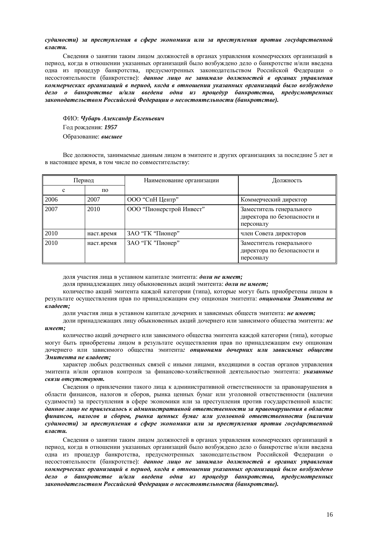#### судимости) за преступления в сфере экономики или за преступления против государственной *власти.*

Сведения о занятии таким лицом должностей в органах управления коммерческих организаций в период, когда в отношении указанных организаций было возбуждено дело о банкротстве и/или введена одна из процедур банкротства, предусмотренных законодательством Российской Федерации о несостоятельности (банкротстве): данное лицо не занимало должностей в органах управления коммерческих организаций в период, когда в отношении указанных организаций было возбуждено дело о банкротстве и/или введена одна из процедур банкротства, предусмотренных законодательством Российской Федерации о несостоятельности (банкротстве).

ɎɂɈ:*ɑɭɛɚɪɶȺɥɟɤɫɚɧɞɪȿɜɝɟɧɶɟɜɢɱ* Год рождения: 1957 **Образование: высшее** 

Все должности, занимаемые данным лицом в эмитенте и других организациях за последние 5 лет и в настоящее время, в том числе по совместительству:

| Период |            | Наименование организации | Должность                                                            |
|--------|------------|--------------------------|----------------------------------------------------------------------|
| c      | по         |                          |                                                                      |
| 2006   | 2007       | ООО "СпН Центр"          | Коммерческий директор                                                |
| 2007   | 2010       | ООО "Пионерстрой Инвест" | Заместитель генерального<br>директора по безопасности и<br>персоналу |
| 2010   | наст.время | ЗАО "ГК "Пионер"         | член Совета директоров                                               |
| 2010   | наст.время | ЗАО "ГК "Пионер"         | Заместитель генерального<br>директора по безопасности и<br>персоналу |

доля участия лица в уставном капитале эмитента: доли не имеет;

доля принадлежащих лицу обыкновенных акций эмитента: доли не имеет;

количество акций эмитента каждой категории (типа), которые могут быть приобретены лицом в результате осуществления прав по принадлежащим ему опционам эмитента: *опционами Эмитента не владеет;* 

доли участия лица в уставном капитале дочерних и зависимых обшеств эмитента: **не имеет:** 

доли принадлежащих лицу обыкновенных акций дочернего или зависимого общества эмитента: не  $$ 

количество акций дочернего или зависимого общества эмитента каждой категории (типа), которые могут быть приобретены лицом в результате осуществления прав по принадлежащим ему опционам дочернего или зависимого общества эмитента: опционами дочерних или зависимых обществ Эмитента не владеет;

характер любых родственных связей с иными лицами, входящими в состав органов управления эмитента и/или органов контроля за финансово-хозяйственной деятельностью эмитента: *указанные*  $c$ вязи отсутствуют.

Сведения о привлечении такого лица к административной ответственности за правонарушения в области финансов, налогов и сборов, рынка ценных бумаг или уголовной ответственности (наличии судимости) за преступления в сфере экономики или за преступления против государственной власти: данное лицо не привлекалось к административной ответственности за правонарушения в области  $\phi$ инансов, налогов и сборов, рынка ценных бумаг или уголовной ответственности (наличии  $c$ удимости) за преступления в сфере экономики или за преступления против государственной *власти*.

Сведения о занятии таким лицом должностей в органах управления коммерческих организаций в период, когда в отношении указанных организаций было возбуждено дело о банкротстве и/или введена одна из процедур банкротства, предусмотренных законодательством Российской Федерации о несостоятельности (банкротстве): данное лицо не занимало должностей в органах управления коммерческих организаций в период, когда в отношении указанных организаций было возбуждено дело о банкротстве и/или введена одна из процедур банкротства, предусмотренных законодательством Российской Федерации о несостоятельности (банкротстве).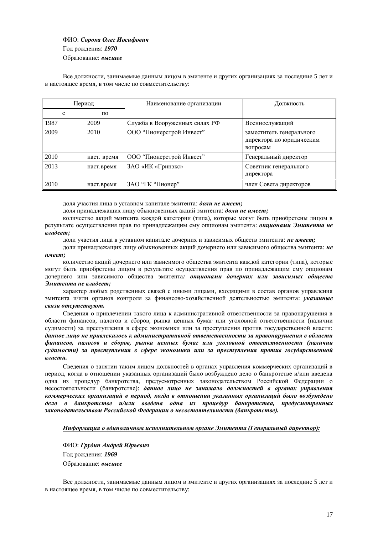## ɎɂɈ:*ɋɨɪɨɤɚɈɥɟɝɂɨɫɢɮɨɜɢɱ* Год рождения: 1970 Образование: высшее

Все должности, занимаемые данным лицом в эмитенте и других организациях за последние 5 лет и в настоящее время, в том числе по совместительству:

| Период      |             | Наименование организации      | Должность                                                        |
|-------------|-------------|-------------------------------|------------------------------------------------------------------|
| $\mathbf c$ | по          |                               |                                                                  |
| 1987        | 2009        | Служба в Вооруженных силах РФ | Военнослужащий                                                   |
| 2009        | 2010        | ООО "Пионерстрой Инвест"      | заместитель генерального<br>директора по юридическим<br>вопросам |
| 2010        | наст. время | ООО "Пионерстрой Инвест"      | Генеральный директор                                             |
| 2013        | наст.время  | ЗАО «ИК «Гринэкс»             | Советник генерального<br>директора                               |
| 2010        | наст.время  | ЗАО "ГК "Пионер"              | член Совета директоров                                           |

доля участия лица в уставном капитале эмитента: доли не имеет;

доля принадлежащих лицу обыкновенных акций эмитента: доли не имеет;

количество акций эмитента каждой категории (типа), которые могут быть приобретены лицом в результате осуществления прав по принадлежащим ему опционам эмитента: *опционами Эмитента не владеет:* 

доли участия лица в уставном капитале дочерних и зависимых обществ эмитента: не имеет;

доли приналлежаших липу обыкновенных акций лочернего или зависимого обшества эмитента: не

#### $$

количество акций дочернего или зависимого общества эмитента каждой категории (типа), которые могут быть приобретены лицом в результате осуществления прав по принадлежащим ему опционам дочернего или зависимого общества эмитента: опшионами дочерних или зависимых обшеств Эмитента не владеет;

характер любых родственных связей с иными лицами, входящими в состав органов управления эмитента и/или органов контроля за финансово-хозяйственной деятельностью эмитента: *указанные*  $c$ вязи отсутствуют.

Сведения о привлечении такого лица к административной ответственности за правонарушения в области финансов, налогов и сборов, рынка ценных бумаг или уголовной ответственности (наличии судимости) за преступления в сфере экономики или за преступления против государственной власти: данное лицо не привлекалось к административной ответственности за правонарушения в области  $\phi$ инансов, налогов и сборов, рынка ценных бумаг или уголовной ответственности (наличии судимости) за преступления в сфере экономики или за преступления против государственной *власти*.

Сведения о занятии таким лицом должностей в органах управления коммерческих организаций в периол, когла в отношении указанных организаций было возбуждено лело о банкротстве и/или введена одна из процедур банкротства, предусмотренных законодательством Российской Федерации о несостоятельности (банкротстве): данное лицо не занимало должностей в органах управления коммерческих организаций в период, когда в отношении указанных организаций было возбуждено дело о банкротстве и/или введена одна из процедур банкротства, предусмотренных законодательством Российской Федерации о несостоятельности (банкротстве).

#### **Информация о единоличном исполнительном органе Эмитента (Генеральный директор):**

ɎɂɈ:*ȽɪɭɞɢɧȺɧɞɪɟɣɘɪɶɟɜɢɱ* Год рождения: 1969 **Образование: высшее** 

Все должности, занимаемые данным лицом в эмитенте и других организациях за последние 5 лет и в настоящее время, в том числе по совместительству: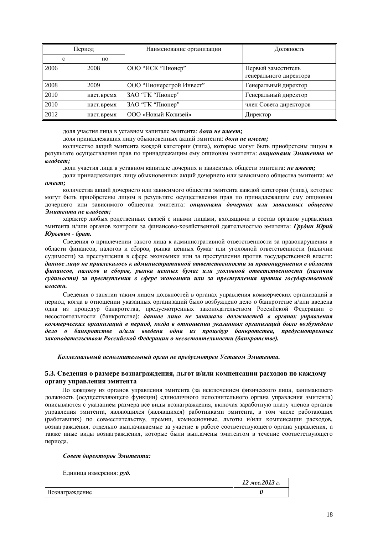| Период |            | Наименование организации | Должность                                    |
|--------|------------|--------------------------|----------------------------------------------|
| c      | по         |                          |                                              |
| 2006   | 2008       | ООО "ИСК "Пионер"        | Первый заместитель<br>генерального директора |
| 2008   | 2009       | ООО "Пионерстрой Инвест" | Генеральный директор                         |
| 2010   | наст.время | ЗАО "ГК "Пионер"         | Генеральный директор                         |
| 2010   | наст.время | ЗАО "ГК "Пионер"         | член Совета директоров                       |
| 2012   | наст.время | ООО «Новый Колизей»      | Директор                                     |

доля участия лица в уставном капитале эмитента: доли не имеет;

доля принадлежащих лицу обыкновенных акций эмитента: доли не имеет;

количество акций эмитента каждой категории (типа), которые могут быть приобретены лицом в результате осуществления прав по принадлежащим ему опционам эмитента: *опционами Эмитента не*  $$ 

доли участия лица в уставном капитале дочерних и зависимых обществ эмитента: не имеет;

доли принадлежащих лицу обыкновенных акций дочернего или зависимого общества эмитента: не  $$ 

количества акций дочернего или зависимого общества эмитента каждой категории (типа), которые могут быть приобретены лицом в результате осуществления прав по принадлежащим ему опционам дочернего или зависимого общества эмитента: опционами дочерних или зависимых обществ Эмитента не владеет;

характер любых родственных связей с иными лицами, входящими в состав органов управления эмитента и/или органов контроля за финансово-хозяйственной деятельностью эмитента: Грудин Юрий  $B$ *D* $p$ *<i>be*<sup>*8u*</sup> + *ópam*.

Сведения о привлечении такого лица к административной ответственности за правонарушения в области финансов, налогов и сборов, рынка ценных бумаг или уголовной ответственности (наличии судимости) за преступления в сфере экономики или за преступления против государственной власти: данное лицо не привлекалось к административной ответственности за правонарушения в области  $\phi$ инансов, налогов и сборов, рынка ценных бумаг или уголовной ответственности (наличии судимости) за преступления в сфере экономики или за преступления против государственной *власти*.

Сведения о занятии таким лицом должностей в органах управления коммерческих организаций в период, когда в отношении указанных организаций было возбуждено дело о банкротстве и/или введена одна из процедур банкротства, предусмотренных законодательством Российской Федерации о несостоятельности (банкротстве): данное лицо не занимало должностей в органах управления коммерческих организаций в период, когда в отношении указанных организаций было возбуждено дело о банкротстве и/или введена одна из процедур банкротства, предусмотренных законодательством Российской Федерации о несостоятельности (банкротстве).

Коллегиальный исполнительный орган не предусмотрен Уставом Эмитента.

#### 5.3. Сведения о размере вознаграждения, льгот и/или компенсации расходов по каждому **ɨɪɝɚɧɭɭɩɪɚɜɥɟɧɢɹɷɦɢɬɟɧɬɚ**

По каждому из органов управления эмитента (за исключением физического лица, занимающего должность (осуществляющего функции) единоличного исполнительного органа управления эмитента) описываются с указанием размера все виды вознаграждения, включая заработную плату членов органов управления эмитента, являющихся (являвшихся) работниками эмитента, в том числе работающих (работавших) по совместительству, премии, комиссионные, льготы и/или компенсации расходов, • вознаграждения, отдельно выплачиваемые за участие в работе соответствующего органа управления, а также иные виды вознаграждения, которые были выплачены эмитентом в течение соответствующего периода.

#### Совет директоров Эмитента:

Единица измерения: *руб*.

|                | 12 мес. 2013 г. |
|----------------|-----------------|
| Вознаграждение |                 |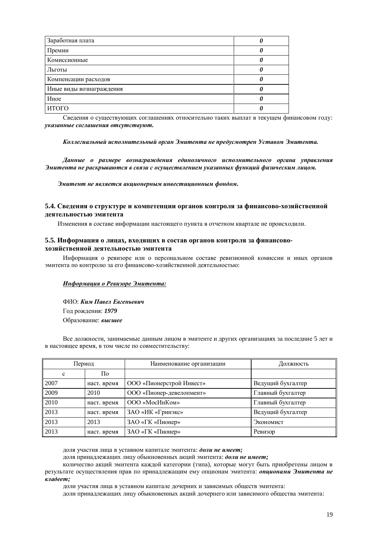| Заработная плата         |  |
|--------------------------|--|
| Премии                   |  |
| Комиссионные             |  |
| Льготы                   |  |
| Компенсации расходов     |  |
| Иные виды вознаграждения |  |
| Иное                     |  |
| ИТОГО                    |  |

Сведения о сушествующих соглашениях относительно таких выплат в текущем финансовом году: **указанные соглашения отсутствуют.** 

#### Коллегиальный исполнительный орган Эмитента не предусмотрен Уставом Эмитента.

Данные о размере вознаграждения единоличного исполнительного органа управления Эмитента не раскрываются в связи с осуществлением указанных функций физическим лицом.

Эмитент не является акционерным инвестиционным фондом.

#### 5.4. Сведения о структуре и компетенции органов контроля за финансово-хозяйственной деятельностью эмитента

Изменения в составе информации настоящего пункта в отчетном квартале не происходили.

#### 5.5. Информация о лицах, входящих в состав органов контроля за финансово**хозяйственной деятельностью эмитента**

Информация о ревизоре или о персональном составе ревизионной комиссии и иных органов эмитента по контролю за его финансово-хозяйственной деятельностью:

#### **Информация о Ревизоре Эмитента:**

ɎɂɈ:*Ʉɢɦɉɚɜɟɥȿɜɝɟɧɶɟɜɢɱ* Год рождения: 1979 **Образование: высшее** 

Все должности, занимаемые данным лицом в эмитенте и других организациях за последние 5 лет и в настоящее время, в том числе по совместительству:

| Период |             | Наименование организации | Должность         |
|--------|-------------|--------------------------|-------------------|
| c      | По          |                          |                   |
| 2007   | наст. время | ООО «Пионерстрой Инвест» | Ведущий бухгалтер |
| 2009   | 2010        | ООО «Пионер-девелопмент» | Главный бухгалтер |
| 2010   | наст. время | ООО «МосИнКом»           | Главный бухгалтер |
| 2013   | наст. время | ЗАО «ИК «Гринэкс»        | Ведущий бухгалтер |
| 2013   | 2013        | ЗАО «ГК «Пионер»         | Экономист         |
| 2013   | наст. время | ЗАО «ГК «Пионер»         | Ревизор           |

доля участия лица в уставном капитале эмитента: доли не имеет;

доля принадлежащих лицу обыкновенных акций эмитента: доли не имеет;

количество акций эмитента каждой категории (типа), которые могут быть приобретены лицом в результате осуществления прав по принадлежащим ему опционам эмитента: *опционами Эмитента не владеет:* 

доли участия лица в уставном капитале дочерних и зависимых обществ эмитента:

доли принадлежащих лицу обыкновенных акций дочернего или зависимого общества эмитента: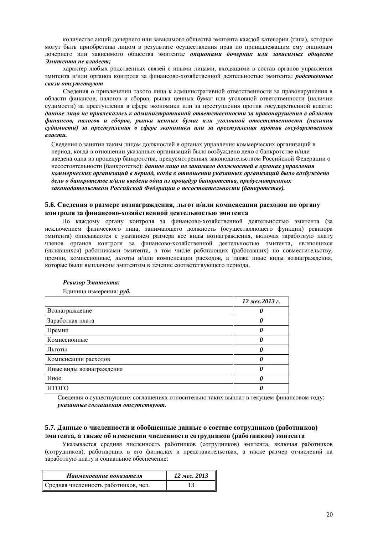количество акций лочернего или зависимого общества эмитента кажлой категории (типа), которые могут быть приобретены лицом в результате осуществления прав по принадлежащим ему опционам дочернего или зависимого общества эмитента: опционами дочерних или зависимых обшеств Эмитента не владеет;

характер любых родственных связей с иными лицами, входящими в состав органов управления эмитента и/или органов контроля за финансово-хозяйственной деятельностью эмитента: *родственные*  $c$ вязи отсутствуют

Сведения о привлечении такого лица к административной ответственности за правонарушения в области финансов, налогов и сборов, рынка ценных бумаг или уголовной ответственности (наличии судимости) за преступления в сфере экономики или за преступления против государственной власти: данное лицо не привлекалось к административной ответственности за правонарушения в области  $\phi$ инансов, налогов и сборов, рынка ценных бумаг или уголовной ответственности (наличии судимости) за преступления в сфере экономики или за преступления против государственной *власти*.

Сведения о занятии таким лицом должностей в органах управления коммерческих организаций в периол, когла в отношении указанных организаций было возбужлено лело о банкротстве и/или введена одна из процедур банкротства, предусмотренных законодательством Российской Федерации о несостоятельности (банкротстве): данное лицо не занимало должностей в органах управления коммерческих организаций в период, когда в отношении указанных организаций было возбуждено  $\partial$ ело о банкротстве и/или введена одна из процедур банкротства, предусмотренных законодательством Российской Федерации о несостоятельности (банкротстве).

#### 5.6. Сведения о размере вознаграждения, льгот и/или компенсации расходов по органу контроля за финансово-хозяйственной деятельностью эмитента

По каждому органу контроля за финансово-хозяйственной деятельностью эмитента (за исключением физического лица, занимающего должность (осуществляющего функции) ревизора эмитента) описываются с указанием размера все виды вознаграждения, включая заработную плату членов органов контроля за финансово-хозяйственной деятельностью эмитента, являющихся (являвшихся) работниками эмитента, в том числе работающих (работавших) по совместительству, премии, комиссионные, льготы и/или компенсации расходов, а также иные виды вознаграждения, которые были выплачены эмитентом в течение соответствующего периода.

|                          | 12 мес. 2013 г. |
|--------------------------|-----------------|
| Вознаграждение           |                 |
| Заработная плата         |                 |
| Премии                   |                 |
| Комиссионные             |                 |
| Льготы                   |                 |
| Компенсации расходов     |                 |
| Иные виды вознаграждения |                 |
| Иное                     |                 |
| ИТОГО                    |                 |

#### **Ревизор Эмитента:**

Единица измерения: руб.

Сведения о существующих соглашениях относительно таких выплат в текущем финансовом году: **указанные соглашения отсутствуют.** 

#### 5.7. Данные о численности и обобщенные данные о составе сотрудников (работников) **ЭМИТЕНТА, А ТАКЖЕ Об ИЗМЕНЕНИИ ЧИСЛЕННОСТИ СОТРУДНИКОВ (РАбОТНИКОВ) ЭМИТЕНТА**

Указывается средняя численность работников (сотрудников) эмитента, включая работников (сотрудников), работающих в его филиалах и представительствах, а также размер отчислений на заработную плату и социальное обеспечение:

| Наименование показателя              | 12 мес. 2013 |
|--------------------------------------|--------------|
| Средняя численность работников, чел. |              |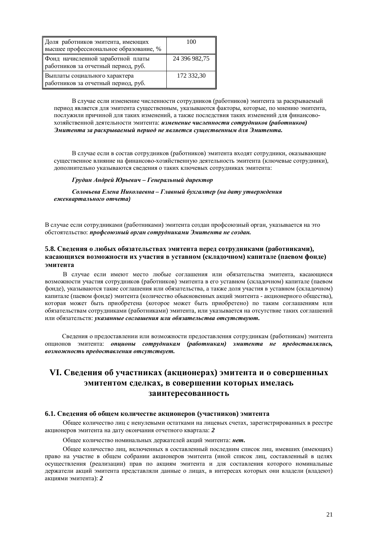| Доля работников эмитента, имеющих<br>высшее профессиональное образование, % | 100           |
|-----------------------------------------------------------------------------|---------------|
| Фонд начисленной заработной платы<br>работников за отчетный период, руб.    | 24 396 982,75 |
| Выплаты социального характера<br>работников за отчетный период, руб.        | 172 332,30    |

В случае если изменение численности сотрудников (работников) эмитента за раскрываемый период является для эмитента существенным, указываются факторы, которые, по мнению эмитента, послужили причиной для таких изменений, а также последствия таких изменений для финансовохозяйственной деятельности эмитента: изменение численности сотрудников (работников) Эмитента за раскрываемый период не является сушественным для Эмитента.

В случае если в состав сотрудников (работников) эмитента входят сотрудники, оказывающие существенное влияние на финансово-хозяйственную деятельность эмитента (ключевые сотрудники), дополнительно указываются сведения о таких ключевых сотрудниках эмитента:

#### $\Gamma$ рудин Андрей Юрьевич – Генеральный директор

Соловьева Елена Николаевна – Главный бухгалтер (на дату утверждения  $e$ жеквартального отчета)

В случае если сотрудниками (работниками) эмитента создан профсоюзный орган, указывается на это **обстоятельство: профсоюзный орган сотрудниками Эмитента не создан.** 

#### 5.8. Сведения о любых обязательствах эмитента перед сотрудниками (работниками), касающихся возможности их участия в уставном (складочном) капитале (паевом фонде) **ЭМИТЕНТА**

В случае если имеют место любые соглашения или обязательства эмитента, касающиеся возможности участия сотрудников (работников) эмитента в его уставном (складочном) капитале (паевом фонде), указываются такие соглашения или обязательства, а также доля участия в уставном (складочном) хапитале (паевом фонде) эмитента (количество обыкновенных акций эмитента - акционерного общества), которая может быть приобретена (которое может быть приобретено) по таким соглашениям или обязательствам сотрудниками (работниками) эмитента, или указывается на отсутствие таких соглашений или обязательств: указанные соглашения или обязательства отсутствуют.

Сведения о предоставлении или возможности предоставления сотрудникам (работникам) эмитента опционов эмитента: опционы сотрудникам (работникам) эмитента не предоставлялись,  $\boldsymbol{\theta}$ *возможность предоставления отсутствует.* 

# VI. Сведения об участниках (акционерах) эмитента и о совершенных **ЭМИТЕНТОМ СДЕЛКАХ, В СОВЕРШЕНИИ КОТОРЫХ ИМЕЛАСЬ** заинтересованность

#### **6.1. Сведения об общем количестве акционеров (участников) эмитента**

Общее количество лиц с ненулевыми остатками на лицевых счетах, зарегистрированных в реестре акционеров эмитента на дату окончания отчетного квартала: 2

Общее количество номинальных держателей акций эмитента: нет.

Общее количество лиц, включенных в составленный последним список лиц, имевших (имеющих) право на участие в общем собрании акционеров эмитента (иной список лиц, составленный в целях осуществления (реализации) прав по акциям эмитента и для составления которого номинальные держатели акций эмитента представляли данные о лицах, в интересах которых они владели (владеют) акциями эмитента): 2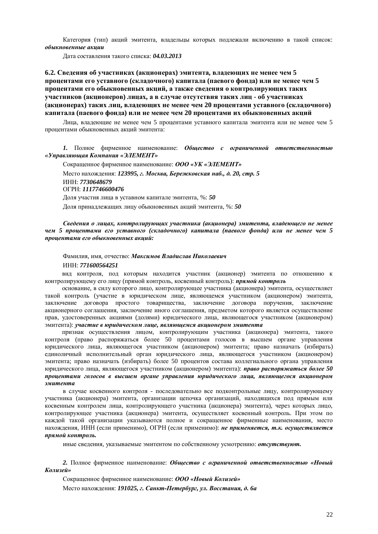Категория (тип) акций эмитента, владельцы которых подлежали включению в такой список:  $\boldsymbol{\theta}$ быкновенные акиии

Ⱦɚɬɚɫɨɫɬɚɜɥɟɧɢɹɬɚɤɨɝɨɫɩɢɫɤɚ: *04.03.2013*

#### **6.2. Сведения об участниках (акционерах) эмитента, владеющих не менее чем 5** Процентами его уставного (складочного) капитала (паевого фонда) или не менее чем 5 процентами его обыкновенных акций, а также сведения о контролирующих таких **ɭɱɚɫɬɧɢɤɨɜ (ɚɤɰɢɨɧɟɪɨɜ) ɥɢɰɚɯ, ɚɜɫɥɭɱɚɟɨɬɫɭɬɫɬɜɢɹɬɚɤɢɯɥɢɰ - ɨɛɭɱɚɫɬɧɢɤɚɯ ɚɤɰɢɨɧɟɪɚɯ) ɬɚɤɢɯɥɢɰ, ɜɥɚɞɟɸɳɢɯɧɟɦɟɧɟɟɱɟɦ 20 ɩɪɨɰɟɧɬɚɦɢɭɫɬɚɜɧɨɝɨ (ɫɤɥɚɞɨɱɧɨɝɨ)**  капитала (паевого фонда) или не менее чем 20 процентами их обыкновенных акций

Лица, владеющие не менее чем 5 процентами уставного капитала эмитента или не менее чем 5 процентами обыкновенных акций эмитента:

1. Полное фирменное наименование: Общество с ограниченной ответственностью *©ɍɩɪɚɜɥɹɸɳɚɹɄɨɦɩɚɧɢɹ «ɗɅȿɆȿɇɌ»*

Сокращенное фирменное наименование: ООО «УК «ЭЛЕМЕНТ» Место нахождения: 123995, г. Москва, Бережковская наб., д. 20, стр. 5 ɂɇɇ: *7730648679* ɈȽɊɇ: *1117746600476* Доля участия лица в уставном капитале эмитента, %: 50 Доля принадлежащих лицу обыкновенных акций эмитента, %: 50

Сведения о лицах, контролирующих участника (акционера) эмитента, владеющего не менее  $\mu$ ем 5 процентами его уставного (складочного) капитала (паевого фонда) или не менее чем 5 процентами его обыкновенных акций:

#### Фамилия, имя, отчество: Максимов Владислав Николаевич

#### ɂɇɇ: *771600564251*

вид контроля, под которым находится участник (акционер) эмитента по отношению к контролирующему его лицу (прямой контроль, косвенный контроль): прямой контроль

основание, в силу которого лицо, контролирующее участника (акционера) эмитента, осуществляет такой контроль (участие в юридическом лице, являющемся участником (акционером) эмитента, заключение договора простого товарищества, заключение договора поручения, заключение акционерного соглашения, заключение иного соглашения, предметом которого является осуществление прав, удостоверенных акциями (долями) юридического лица, являющегося участником (акционером) эмитента): участие в юридическом лице, являющемся акционером эмитента

признак осуществления лицом, контролирующим участника (акционера) эмитента, такого контроля (право распоряжаться более 50 процентами голосов в высшем органе управления юридического лица, являющегося участником (акционером) эмитента; право назначать (избирать) единоличный исполнительный орган юридического лица, являющегося участником (акционером) эмитента; право назначать (избирать) более 50 процентов состава коллегиального органа управления юридического лица, являющегося участником (акционером) эмитента): *право распоряжаться более 50* процентами голосов в высшем органе управления юридического лица, являющегося акционером **эмитента** 

в случае косвенного контроля - последовательно все подконтрольные лицу, контролирующему участника (акционера) эмитента, организации цепочка организаций, находящихся под прямым или косвенным контролем лица, контролирующего участника (акционера) эмитента), через которых лицо, контролирующее участника (акционера) эмитента, осуществляет косвенный контроль. При этом по кажлой такой организации указываются полное и сокращенное фирменные наименования, место нахождения, ИНН (если применимо), ОГРН (если применимо): не применяется, т.к. осуществляется прямой контроль.

иные сведения, указываемые эмитентом по собственному усмотрению: отсутствуют.

2. Полное фирменное наименование: Обшество с ограниченной ответственностью «Новый *Колизей»* 

Сокращенное фирменное наименование: ООО «Новый Колизей» Место нахождения: 191025, г. Санкт-Петербург, ул. Восстания, д. ба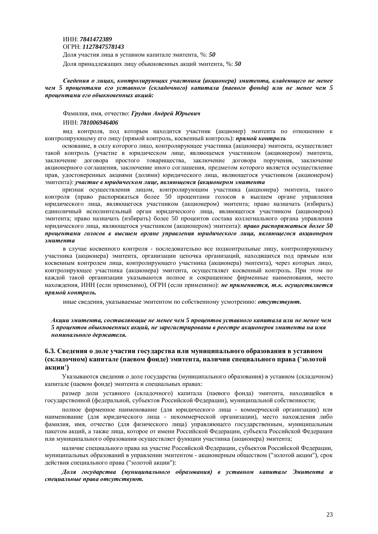ɂɇɇ: *7841472389* ɈȽɊɇ: *1127847578143* Доля участия лица в уставном капитале эмитента, %: 50 Доля принадлежащих лицу обыкновенных акций эмитента, %: 50

Сведения о лицах, контролирующих участника (акционера) эмитента, владеющего не менее  $\mu$ ем 5 процентами его уставного (складочного) капитала (паевого фонда) или не менее чем 5 проиентами его обыкновенных акций:

#### Фамилия, имя, отчество: Грудин Андрей Юрьевич

#### ɂɇɇ: *781006946406*

вид контроля, под которым находится участник (акционер) эмитента по отношению к контролирующему его лицу (прямой контроль, косвенный контроль): прямой контроль

основание, в силу которого лицо, контролирующее участника (акционера) эмитента, осуществляет такой контроль (участие в юридическом лице, являющемся участником (акционером) эмитента, заключение договора простого товарищества, заключение договора поручения, заключение акционерного соглашения, заключение иного соглашения, предметом которого является осуществление прав, удостоверенных акциями (долями) юридического лица, являющегося участником (акционером) эмитента): участие в юридическом лице, являющемся (акционером эмитента

признак осуществления лицом, контролирующим участника (акционера) эмитента, такого контроля (право распоряжаться более 50 процентами голосов в высшем органе управления юридического лица, являющегося участником (акционером) эмитента; право назначать (избирать) единоличный исполнительный орган юридического лица, являющегося участником (акционером) эмитента; право назначать (избирать) более 50 процентов состава коллегиального органа управления юридического лица, являющегося участником (акционером) эмитента): *право распоряжаться более 50* проиентами голосов в высшем органе управления юридического лица, являющегося акционером Эмитента

в случае косвенного контроля - последовательно все подконтрольные лицу, контролирующему участника (акционера) эмитента, организации цепочка организаций, находящихся под прямым или косвенным контролем лица, контролирующего участника (акционера) эмитента), через которых лицо, контролирующее участника (акционера) эмитента, осуществляет косвенный контроль. При этом по кажлой такой организации указываются полное и сокращенное фирменные наименования, место нахождения, ИНН (если применимо), ОГРН (если применимо): не применяется, т.к. осуществляется прямой контроль.

иные сведения, указываемые эмитентом по собственному усмотрению: *отсутствуют*.

 $A$ кции эмитента, составляющие не менее чем 5 процентов уставного капитала или не менее чем 5 процентов обыкновенных акций, не зарегистрированы в реестре акционеров эмитента на имя *ɧɨɦɢɧɚɥɶɧɨɝɨɞɟɪɠɚɬɟɥɹ.*

#### **6.3. Сведения о доле участия государства или муниципального образования в уставном**  $(kA)$  (складочном) капитале (паевом фонде) эмитента, наличии специального права ('золотой **ɚɤɰɢɢ')**

Указываются сведения о доле государства (муниципального образования) в уставном (складочном) капитале (паевом фонде) эмитента и специальных правах:

размер лоли уставного (склалочного) капитала (паевого фонла) эмитента, нахоляшейся в государственной (федеральной, субъектов Российской Федерации), муниципальной собственности;

полное фирменное наименование (для юридического лица - коммерческой организации) или наименование (для юридического лица - некоммерческой организации), место нахождения либо фамилия, имя, отчество (для физического лица) управляющего государственным, муниципальным пакетом акций, а также лица, которое от имени Российской Федерации, субъекта Российской Федерации или муниципального образования осуществляет функции участника (акционера) эмитента;

наличие специального права на участие Российской Федерации, субъектов Российской Федерации, муниципальных образований в управлении эмитентом - акционерным обществом ("золотой акции"), срок действия специального права ("золотой акции"):

 $\eta$ аля государства (муниципального образования) в уставном капитале Эмитента и специальные права отсутствуют.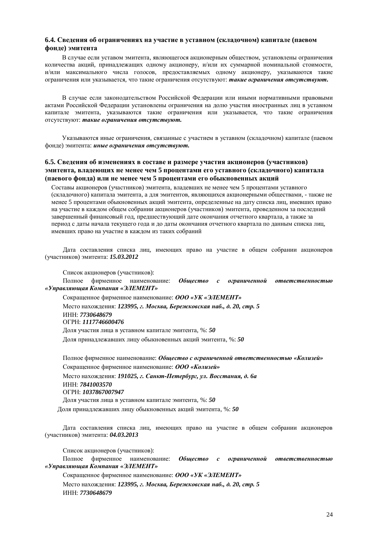#### **6.4. Сведения об ограничениях на участие в уставном (складочном) капитале (паевом**  $\phi$ **онде**) эмитента

В случае если уставом эмитента, являющегося акционерным обществом, установлены ограничения количества акций, принадлежащих одному акционеру, и/или их суммарной номинальной стоимости, и/или максимального числа голосов, предоставляемых одному акционеру, указываются такие ограничения или указывается, что такие ограничения отсутствуют: такие ограничения отсутствуют.

В случае если законолательством Российской Фелерации или иными нормативными правовыми актами Российской Фелерации установлены ограничения на лолю участия иностранных лиц в уставном капитале эмитента, указываются такие ограничения или указывается, что такие ограничения **утсутствуют: такие ограничения отсутствуют.** 

Указываются иные ограничения, связанные с участием в уставном (складочном) капитале (паевом фонде) эмитента: иные ограничения отсутствуют.

#### **6.5. Сведения об изменениях в составе и размере участия акционеров (участников) ЭМИТЕНТА, ВЛАДЕЮЩИХ НЕ МЕНЕЕ ЧЕМ 5 ПРОЦЕНТАМИ ЕГО УСТАВНОГО (СКЛАДОЧНОГО) КАПИТАЛА ɩɚɟɜɨɝɨɮɨɧɞɚ) ɢɥɢɧɟɦɟɧɟɟɱɟɦ 5 ɩɪɨɰɟɧɬɚɦɢɟɝɨɨɛɵɤɧɨɜɟɧɧɵɯɚɤɰɢɣ**

Составы акционеров (участников) эмитента, владевших не менее чем 5 процентами уставного (складочного) капитала эмитента, а для эмитентов, являющихся акционерными обществами, - также не менее 5 процентами обыкновенных акций эмитента, определенные на дату списка лиц, имевших право на участие в каждом общем собрании акционеров (участников) эмитента, проведенном за последний завершенный финансовый год, предшествующий дате окончания отчетного квартала, а также за период с даты начала текущего года и до даты окончания отчетного квартала по данным списка лиц, имевших право на участие в каждом из таких собраний

Дата составления списка лиц, имеющих право на участие в общем собрании акционеров ɭɱɚɫɬɧɢɤɨɜ) ɷɦɢɬɟɧɬɚ: *15.03.2012*

Список акционеров (участников):

Полное фирменное наименование: Общество с ограниченной ответственностью *©ɍɩɪɚɜɥɹɸɳɚɹɄɨɦɩɚɧɢɹ «ɗɅȿɆȿɇɌ»*

Сокращенное фирменное наименование: ООО «УК «ЭЛЕМЕНТ» Место нахождения: 123995, г. Москва, Бережковская наб., д. 20, стр. 5 ɂɇɇ: *7730648679* ɈȽɊɇ: *1117746600476* Доля участия лица в уставном капитале эмитента, %: 50 Доля принадлежавших лицу обыкновенных акций эмитента, %: 50

Полное фирменное наименование: Обшество с ограниченной ответственностью «Колизей» Сокрашенное фирменное наименование: ООО «Колизей» Место нахождения: 191025, г. Санкт-Петербург, ул. Восстания, д. 6а ɂɇɇ: *7841003570* ɈȽɊɇ: *1037867007947* Доля участия лица в уставном капитале эмитента, %: 50

Доля принадлежавших лицу обыкновенных акций эмитента, %: 50

Дата составления списка лиц, имеющих право на участие в общем собрании акционеров ɭɱɚɫɬɧɢɤɨɜ) ɷɦɢɬɟɧɬɚ: *04.03.2013*

Список акционеров (участников):

Полное фирменное наименование: Общество с ограниченной ответственностью *©ɍɩɪɚɜɥɹɸɳɚɹɄɨɦɩɚɧɢɹ «ɗɅȿɆȿɇɌ»*

Сокращенное фирменное наименование: ООО «УК «ЭЛЕМЕНТ» Место нахождения: 123995, г. Москва, Бережковская наб., д. 20, стр. 5 ɂɇɇ: *7730648679*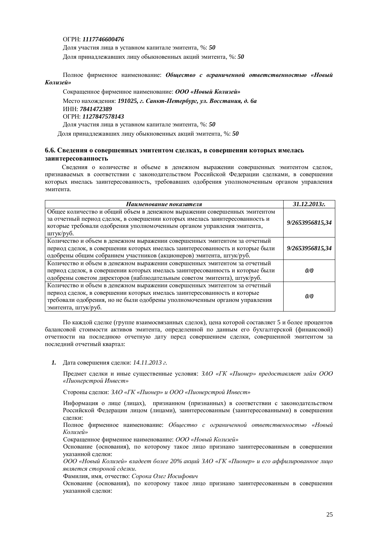#### ɈȽɊɇ: *1117746600476*

Доля участия лица в уставном капитале эмитента, %: 50 Доля принадлежавших лицу обыкновенных акций эмитента, %: 50

Полное фирменное наименование: Обшество с ограниченной ответственностью «Новый **Колизей»** 

Сокращенное фирменное наименование: ООО «Новый Колизей» Место нахождения: 191025, г. Санкт-Петербург, ул. Восстания, д. 6а ɂɇɇ: *7841472389* ɈȽɊɇ: *1127847578143* Доля участия лица в уставном капитале эмитента, %: 50 Доля принадлежавших лицу обыкновенных акций эмитента, %: 50

#### **6.6. Сведения о совершенных эмитентом сделках, в совершении которых имелась** заинтересованность

Сведения о количестве и объеме в денежном выражении совершенных эмитентом сделок, признаваемых в соответствии с законолательством Российской Фелерации слелками, в совершении которых имелась заинтересованность, требовавших одобрения уполномоченным органом управления эмитента.

| Наименование показателя                                                                                                                                                                                                                                    | 31.12.2013г.    |
|------------------------------------------------------------------------------------------------------------------------------------------------------------------------------------------------------------------------------------------------------------|-----------------|
| Общее количество и общий объем в денежном выражении совершенных эмитентом<br>за отчетный период сделок, в совершении которых имелась заинтересованность и<br>которые требовали одобрения уполномоченным органом управления эмитента,<br>штук/руб.          | 9/2653956815,34 |
| Количество и объем в денежном выражении совершенных эмитентом за отчетный<br>период сделок, в совершении которых имелась заинтересованность и которые были<br>одобрены общим собранием участников (акционеров) эмитента, штук/руб.                         | 9/2653956815,34 |
| Количество и объем в денежном выражении совершенных эмитентом за отчетный<br>период сделок, в совершении которых имелась заинтересованность и которые были<br>одобрены советом директоров (наблюдательным советом эмитента), штук/руб.                     | 0/0             |
| Количество и объем в денежном выражении совершенных эмитентом за отчетный<br>период сделок, в совершении которых имелась заинтересованность и которые<br>требовали одобрения, но не были одобрены уполномоченным органом управления<br>эмитента, штук/руб. | 0/0             |

По каждой сделке (группе взаимосвязанных сделок), цена которой составляет 5 и более процентов балансовой стоимости активов эмитента, определенной по данным его бухгалтерской (финансовой) отчетности на последнюю отчетную дату перед совершением сделки, совершенной эмитентом за последний отчетный квартал:

1. Дата совершения сделки: 14.11.2013 г.

Предмет сделки и иные существенные условия: *ЗАО* «ГК «Пионер» предоставляет займ ООО *©ɉɢɨɧɟɪɫɬɪɨɣɂɧɜɟɫɬ»*

Стороны сделки: ЗАО «ГК «Пионер» и ООО «Пионерстрой Инвест»

Информация о лице (лицах), признанном (признанных) в соответствии с законодательством Российской Федерации лицом (лицами), заинтересованным (заинтересованными) в совершении сделки:

Полное фирменное наименование: Общество с ограниченной ответственностью «Новый  $K$ олизей»

Сокращенное фирменное наименование: ООО «Новый Колизей»

Основание (основания), по которому такое лицо признано заинтересованным в совершении указанной слелки:

*ɈɈɈ «ɇɨɜɵɣɄɨɥɢɡɟɣ» ɜɥɚɞɟɟɬɛɨɥɟɟ 20% ɚɤɰɢɣɁȺɈ «ȽɄ «ɉɢɨɧɟɪ» ɢɟɝɨɚɮɮɢɥɢɪɨɜɚɧɧɨɟɥɢɰɨ* является стороной сделки.

Фамилия, имя, отчество: Сорока Олег Иосифович

Основание (основания), по которому такое лицо признано заинтересованным в совершении указанной сделки: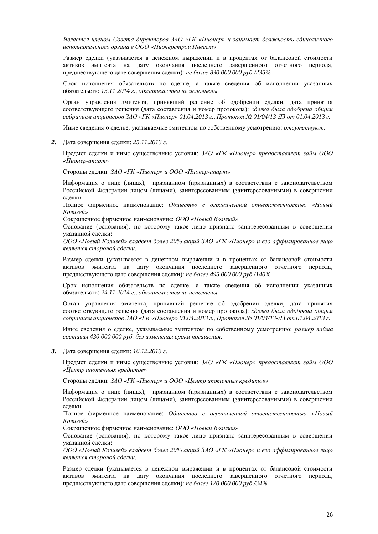$A$ вляется членом Совета директоров ЗАО «ГК «Пионер» и занимает должность единоличного исполнительного органа в ООО «Пионерстрой Инвест»

Размер сделки (указывается в денежном выражении и в процентах от балансовой стоимости активов эмитента на дату окончания последнего завершенного отчетного периода, предшествующего дате совершения сделки): не более 830 000 000 руб./235%

Срок исполнения обязательств по сделке, а также сведения об исполнении указанных  $o$ бязательств: 13.11.2014 г., обязательства не исполнены

Орган управления эмитента, принявший решение об одобрении сделки, дата принятия соответствующего решения (лата составления и номер протокола): *сделка была одобрена общим*  $c$ обранием акционеров ЗАО «ГК «Пионер» 01.04.2013  $\tilde{e}$ , Протокол № 01/04/13-ДЗ от 01.04.2013  $\tilde{e}$ .

Иные сведения о сделке, указываемые эмитентом по собственному усмотрению: отсутствуют.

2. Дата совершения сделки: 25.11.2013 г.

Предмет сделки и иные существенные условия: *ЗАО «ГК «Пионер» предоставляет займ ООО ©ɉɢɨɧɟɪɚɩɚɪɬ»*

Стороны сделки:  $3AO \triangle FK \triangleleft I$ ионер» и ООО «Пионер-апарт»

Информация о лице (лицах), признанном (признанных) в соответствии с законодательством Российской Федерации лицом (лицами), заинтересованным (заинтересованными) в совершении слепки

Полное фирменное наименование: Общество с ограниченной ответственностью «Новый  $K$ олизей»

Сокращенное фирменное наименование: ООО «Новый Колизей»

Основание (основания), по которому такое лицо признано заинтересованным в совершении указанной сделки:

*ɈɈɈ «ɇɨɜɵɣɄɨɥɢɡɟɣ» ɜɥɚɞɟɟɬɛɨɥɟɟ 20% ɚɤɰɢɣɁȺɈ «ȽɄ «ɉɢɨɧɟɪ» ɢɟɝɨɚɮɮɢɥɢɪɨɜɚɧɧɨɟɥɢɰɨ* является стороной сделки.

Размер сделки (указывается в денежном выражении и в процентах от балансовой стоимости активов эмитента на дату окончания последнего завершенного отчетного периода, предшествующего дате совершения сделки): не более 495 000 000 руб./140%

Срок исполнения обязательств по сделке, а также сведения об исполнении указанных  $o$ бязательств: 24.11.2014 г., обязательства не исполнены

Орган управления эмитента, принявший решение об одобрении сделки, дата принятия соответствующего решения (дата составления и номер протокола): *сделка была одобрена общим*  $c$ обранием акционеров ЗАО «ГК «Пионер» 01.04.2013 г., Протокол № 01/04/13-ДЗ от 01.04.2013 г.

Иные сведения о сделке, указываемые эмитентом по собственному усмотрению: размер займа  $c$ оставил 430 000 000 руб. без изменения срока погашения.

3. Дата совершения сделки: 16.12.2013 г.

Предмет сделки и иные существенные условия: *ЗАО «ГК «Пионер» предоставляет займ ООО ©ɐɟɧɬɪɢɩɨɬɟɱɧɵɯɤɪɟɞɢɬɨɜ»*

Стороны сделки:  $3AO \triangleleft Tk \triangleleft I$ ионер» и ООО «Центр ипотечных кредитов»

Информация о лице (лицах), признанном (признанных) в соответствии с законодательством Российской Федерации лицом (лицами), заинтересованным (заинтересованными) в совершении слепки

Полное фирменное наименование: Общество с ограниченной ответственностью «Новый  $K$ олизей»

Сокращенное фирменное наименование: ООО «Новый Колизей»

Основание (основания), по которому такое лицо признано заинтересованным в совершении указанной сделки:

*ɈɈɈ «ɇɨɜɵɣɄɨɥɢɡɟɣ» ɜɥɚɞɟɟɬɛɨɥɟɟ 20% ɚɤɰɢɣɁȺɈ «ȽɄ «ɉɢɨɧɟɪ» ɢɟɝɨɚɮɮɢɥɢɪɨɜɚɧɧɨɟɥɢɰɨ* является стороной сделки.

Размер сделки (указывается в денежном выражении и в процентах от балансовой стоимости активов эмитента на дату окончания последнего завершенного отчетного периода, предшествующего дате совершения сделки): не более 120 000 000 *pv6./34%*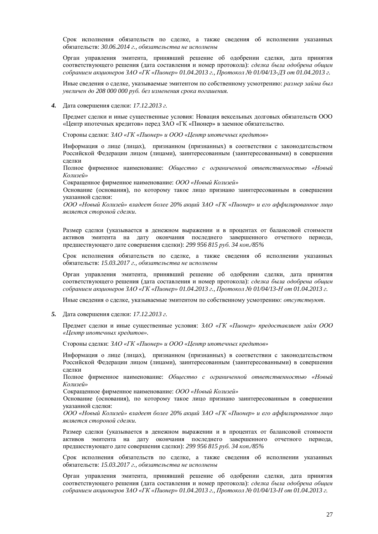Срок исполнения обязательств по слелке, а также свеления об исполнении указанных  $65$ язательств:  $30.06.2014$  г.,  $65$ язательства не исполнены

Орган управления эмитента, принявший решение об одобрении сделки, дата принятия соответствующего решения (дата составления и номер протокола): *сделка была одобрена общим*  $c$ обранием акционеров ЗАО «ГК «Пионер» 01.04.2013 г., Протокол № 01/04/13-ДЗ от 01.04.2013 г.

Иные сведения о сделке, указываемые эмитентом по собственному усмотрению: размер займа был увеличен до 208 000 000 руб. без изменения срока погашения.

4. Дата совершения слелки: 17.12.2013 г.

Предмет сделки и иные существенные условия: Новация вексельных долговых обязательств ООО «Центр ипотечных кредитов» перед ЗАО «ГК «Пионер» в заемное обязательство.

Стороны сделки: ЗАО «ГК «Пионер» и ООО «Центр ипотечных кредитов»

Информация о лице (лицах), признанном (признанных) в соответствии с законодательством Российской Федерации лицом (лицами), заинтересованным (заинтересованными) в совершении слелки

Полное фирменное наименование: Общество с ограниченной ответственностью «Новый  $K$ олизей»

Сокращенное фирменное наименование: ООО «Новый Колизей»

Основание (основания), по которому такое лицо признано заинтересованным в совершении указанной сделки:

*ɈɈɈ «ɇɨɜɵɣɄɨɥɢɡɟɣ» ɜɥɚɞɟɟɬɛɨɥɟɟ 20% ɚɤɰɢɣɁȺɈ «ȽɄ «ɉɢɨɧɟɪ» ɢɟɝɨɚɮɮɢɥɢɪɨɜɚɧɧɨɟɥɢɰɨ* является стороной сделки.

Размер сделки (указывается в денежном выражении и в процентах от балансовой стоимости активов эмитента на дату окончания последнего завершенного отчетного периода, предшествующего дате совершения сделки): 299 956 815 руб. 34 коп./85%

Срок исполнения обязательств по сделке, а также сведения об исполнении указанных  $o$ бязательств: *15.03.2017 г., обязательства не исполнены* 

Орган управления эмитента, принявший решение об одобрении сделки, дата принятия соответствующего решения (дата составления и номер протокола): *сделка была одобрена общим*  $c$ обранием акционеров ЗАО «ГК «Пионер» 01.04.2013 г., Протокол № 01/04/13-*H* от 01.04.2013 г.

Иные сведения о сделке, указываемые эмитентом по собственному усмотрению: отсутствуют.

5. Дата совершения сделки: 17.12.2013 г.

Предмет сделки и иные существенные условия: *ЗАО «ГК «Пионер» предоставляет займ ООО ©ɐɟɧɬɪɢɩɨɬɟɱɧɵɯɤɪɟɞɢɬɨɜ»*.

Стороны сделки: ЗАО «ГК «Пионер» и ООО «Центр ипотечных кредитов»

Информация о лице (лицах), признанном (признанных) в соответствии с законодательством Российской Федерации лицом (лицами), заинтересованным (заинтересованными) в совершении сделки

Полное фирменное наименование: Общество с ограниченной ответственностью «Новый  $K$ олизей»

Сокращенное фирменное наименование: ООО «Новый Колизей»

Основание (основания), по которому такое лицо признано заинтересованным в совершении указанной сделки:

*ɈɈɈ «ɇɨɜɵɣɄɨɥɢɡɟɣ» ɜɥɚɞɟɟɬɛɨɥɟɟ 20% ɚɤɰɢɣɁȺɈ «ȽɄ «ɉɢɨɧɟɪ» ɢɟɝɨɚɮɮɢɥɢɪɨɜɚɧɧɨɟɥɢɰɨ* является стороной сделки.

Размер сделки (указывается в денежном выражении и в процентах от балансовой стоимости активов эмитента на дату окончания последнего завершенного отчетного периода, предшествующего дате совершения сделки): 299 956 815 руб. 34 коп./85%

Срок исполнения обязательств по слелке, а также свеления об исполнении указанных  $66$ язательств: *15.03.2017 г., обязательства не исполнены* 

Орган управления эмитента, принявший решение об одобрении сделки, дата принятия соответствующего решения (дата составления и номер протокола): *сделка была одобрена общим*  $c$ обранием акционеров ЗАО «ГК «Пионер» 01.04.2013 г., Протокол № 01/04/13-*Н* от 01.04.2013 г.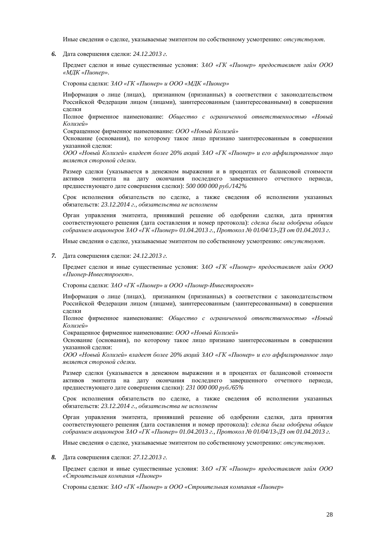Иные сведения о сделке, указываемые эмитентом по собственному усмотрению: *отсутствуют*.

6. Дата совершения сделки: 24.12.2013 г.

Предмет сделки и иные существенные условия:  $3AO \ll TK \ll \textit{I}$ конер» предоставляет займ ООО *©ɆȾɄ «ɉɢɨɧɟɪ»*.

Стороны сделки: 3AO «ГК «Пионер» и ООО «МДК «Пионер»

Информация о лице (лицах), признанном (признанных) в соответствии с законодательством Российской Федерации лицом (лицами), заинтересованным (заинтересованными) в совершении сделки

Полное фирменное наименование: Общество с ограниченной ответственностью «Новый  $K$ олизей»

Сокращенное фирменное наименование: ООО «Новый Колизей»

Основание (основания), по которому такое лицо признано заинтересованным в совершении указанной сделки:

*ɈɈɈ «ɇɨɜɵɣɄɨɥɢɡɟɣ» ɜɥɚɞɟɟɬɛɨɥɟɟ 20% ɚɤɰɢɣɁȺɈ «ȽɄ «ɉɢɨɧɟɪ» ɢɟɝɨɚɮɮɢɥɢɪɨɜɚɧɧɨɟɥɢɰɨ* является стороной сделки.

Размер сделки (указывается в денежном выражении и в процентах от балансовой стоимости активов эмитента на дату окончания последнего завершенного отчетного периода, предшествующего дате совершения сделки): 500 000 000 руб./142%

Срок исполнения обязательств по сделке, а также сведения об исполнении указанных обязательств: 23.12.2014 г., обязательства не исполнены

Орган управления эмитента, принявший решение об одобрении слелки, дата принятия соответствующего решения (дата составления и номер протокола): *сделка была одобрена общим*  $c$ обранием акционеров ЗАО «ГК «Пионер» 01.04.2013 г., Протокол № 01/04/13-ДЗ от 01.04.2013 г.

Иные сведения о сделке, указываемые эмитентом по собственному усмотрению: отсутствуют.

7. Дата совершения сделки: 24.12.2013 г.

Предмет сделки и иные существенные условия: ЗАО «ГК «Пионер» предоставляет займ ООО *©ɉɢɨɧɟɪɂɧɜɟɫɬɩɪɨɟɤɬ»*.

Стороны сделки:  $3AO \triangle FK \triangleleft I$ ионер» и ООО «Пионер-Инвестпроект»

Информация о лице (лицах), признанном (признанных) в соответствии с законодательством Российской Федерации лицом (лицами), заинтересованным (заинтересованными) в совершении сделки

Полное фирменное наименование: Общество с ограниченной ответственностью «Новый *Колизей»* 

Сокращенное фирменное наименование: ООО «Новый Колизей»

Основание (основания), по которому такое лицо признано заинтересованным в совершении указанной сделки:

*ɈɈɈ «ɇɨɜɵɣɄɨɥɢɡɟɣ» ɜɥɚɞɟɟɬɛɨɥɟɟ 20% ɚɤɰɢɣɁȺɈ «ȽɄ «ɉɢɨɧɟɪ» ɢɟɝɨɚɮɮɢɥɢɪɨɜɚɧɧɨɟɥɢɰɨ* является стороной сделки.

Размер сделки (указывается в денежном выражении и в процентах от балансовой стоимости активов эмитента на дату окончания последнего завершенного отчетного периода, предшествующего дате совершения сделки): 231 000 000 *p*yб./65%

Срок исполнения обязательств по сделке, а также сведения об исполнении указанных обязательств: 23.12.2014 г., обязательства не исполнены

Орган управления эмитента, принявший решение об одобрении сделки, дата принятия соответствующего решения (дата составления и номер протокола): *сделка была одобрена общим*  $c$ обранием акционеров ЗАО «ГК «Пионер» 01.04.2013 г., Протокол № 01/04/13-ДЗ от 01.04.2013 г.

Иные сведения о сделке, указываемые эмитентом по собственному усмотрению: *отсутствуют*.

8. Дата совершения слелки: 27.12.2013 г.

Предмет сделки и иные существенные условия: *ЗАО «ГК «Пионер» предоставляет займ ООО ©ɋɬɪɨɢɬɟɥɶɧɚɹɤɨɦɩɚɧɢɹ «ɉɢɨɧɟɪ»*

Стороны сделки:  $3AO \triangle FK \triangleleft I$ ионер» и ООО «Строительная компания «Пионер»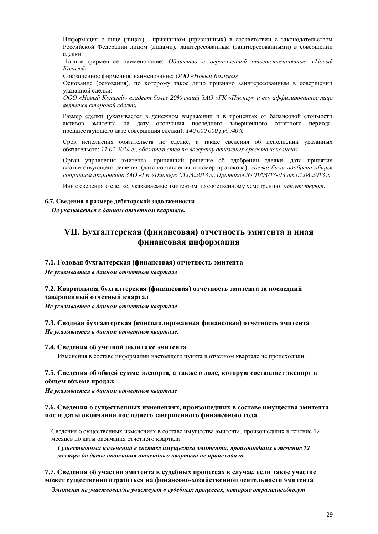Информация о лице (лицах), признанном (признанных) в соответствии с законодательством Российской Федерации лицом (лицами), заинтересованным (заинтересованными) в совершении слелки

Полное фирменное наименование: Общество с ограниченной ответственностью «Новый  $K$ олизей»

Сокращенное фирменное наименование: ООО «Новый Колизей»

Основание (основания), по которому такое лицо признано заинтересованным в совершении указанной сделки:

*ɈɈɈ «ɇɨɜɵɣɄɨɥɢɡɟɣ» ɜɥɚɞɟɟɬɛɨɥɟɟ 20% ɚɤɰɢɣɁȺɈ «ȽɄ «ɉɢɨɧɟɪ» ɢɟɝɨɚɮɮɢɥɢɪɨɜɚɧɧɨɟɥɢɰɨ* является стороной сделки.

Размер сделки (указывается в денежном выражении и в процентах от балансовой стоимости активов эмитента на дату окончания последнего завершенного отчетного периода, предшествующего дате совершения сделки): *140 000 000 руб./40%* 

Срок исполнения обязательств по сделке, а также сведения об исполнении указанных обязательств: 11.01.2014 г., обязательства по возврату денежных средств исполнены

Орган управления эмитента, принявший решение об одобрении сделки, дата принятия соответствующего решения (дата составления и номер протокола): *сделка была одобрена общим*  $c$ обранием акционеров ЗАО «ГК «Пионер» 01.04.2013 г., Протокол № 01/04/13-ДЗ от 01.04.2013 г.

Иные сведения о сделке, указываемые эмитентом по собственному усмотрению: отсутствуют.

#### **6.7. Сведения о размере дебиторской задолженности**

Не указывается в данном отчетном квартале.

# **VII. Ȼɭɯɝɚɥɬɟɪɫɤɚɹ (ɮɢɧɚɧɫɨɜɚɹ) ɨɬɱɟɬɧɨɫɬɶɷɦɢɬɟɧɬɚɢɢɧɚɹ**  $\phi$ инансовая информация

#### 7.1. Годовая бухгалтерская (финансовая) отчетность эмитента

Не указывается в данном отчетном квартале

#### 7.2. Квартальная бухгалтерская (финансовая) отчетность эмитента за последний завершенный отчетный квартал

Не указывается в данном отчетном квартале

#### **7.3. Сводная бухгалтерская (консолидированная финансовая) отчетность эмитента** Не указывается в данном отчетном квартале.

#### 7.4. Сведения об учетной политике эмитента

Изменения в составе информации настоящего пункта в отчетном квартале не происходили.

#### 7.5. Сведения об общей сумме экспорта, а также о доле, которую составляет экспорт в **обшем объеме пролаж**

Не указывается в данном отчетном квартале

#### 7.6. Сведения о существенных изменениях, произошедших в составе имущества эмитента после даты окончания последнего завершенного финансового года

Сведения о существенных изменениях в составе имущества эмитента, произошедших в течение 12 месяцев до даты окончания отчетного квартала

*ɋɭɳɟɫɬɜɟɧɧɵɯɢɡɦɟɧɟɧɢɣɜɫɨɫɬɚɜɟɢɦɭɳɟɫɬɜɚɷɦɢɬɟɧɬɚ, ɩɪɨɢɡɨɲɟɞɲɢɯɜɬɟɱɟɧɢɟ 12 месяцев до даты окончания отчетного квартала не происходило.* 

#### **7.7. Сведения об участии эмитента в судебных процессах в случае, если такое участие** может существенно отразиться на финансово-хозяйственной деятельности эмитента

 $3$ митент не участвовал/не участвует в судебных процессах, которые отразились/могут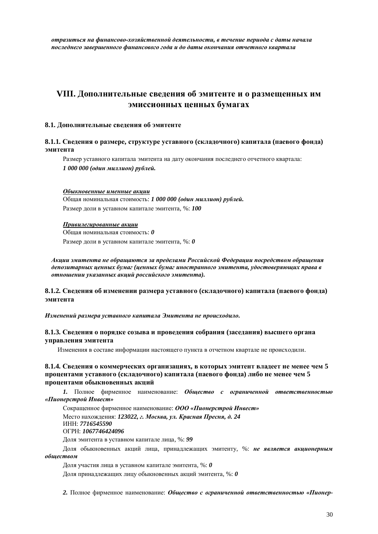$\boldsymbol{\delta}$ тразиться на финансово-хозяйственной деятельности, в течение периода с даты начала последнего завершенного финансового года и до даты окончания отчетного квартала

# VIII. Дополнительные сведения об эмитенте и о размещенных им эмиссионных ценных бумагах

#### 8.1. Лополнительные сведения об эмитенте

#### **8.1.1. Сведения о размере, структуре уставного (складочного) капитала (паевого фонда) ЭМИТЕНТА**

Размер уставного капитала эмитента на дату окончания последнего отчетного квартала: *1 000 000 (один миллион) рублей.* 

#### Обыкновенные именные акции

Общая номинальная стоимость: 1 000 000 (один миллион) рублей. Размер доли в уставном капитале эмитента, %: 100

#### **Привилегированные акиии**

Общая номинальная стоимость: 0

Размер доли в уставном капитале эмитента, %: 0

*ȺɤɰɢɢɷɦɢɬɟɧɬɚɧɟɨɛɪɚɳɚɸɬɫɹɡɚɩɪɟɞɟɥɚɦɢɊɨɫɫɢɣɫɤɨɣɎɟɞɟɪɚɰɢɢɩɨɫɪɟɞɫɬɜɨɦɨɛɪɚɳɟɧɢɹ* депозитарных ценных бумаг (ценных бумаг иностранного эмитента, удостоверяющих права в  $\boldsymbol{\theta}$  отношении указанных акций российского эмитента).

#### **8.1.2. Сведения об изменении размера уставного (складочного) капитала (паевого фонда) ЭМИТЕНТА**

#### Изменений размера уставного капитала Эмитента не происходило.

#### 8.1.3. Сведения о порядке созыва и проведения собрания (заседания) высшего органа управления эмитента

Изменения в составе информации настоящего пункта в отчетном квартале не происходили.

#### **8.1.4. Сведения о коммерческих организациях, в которых эмитент владеет не менее чем 5** процентами уставного (складочного) капитала (паевого фонда) либо не менее чем 5 процентами обыкновенных акций

1. Полное фирменное наименование: Общество с ограниченной ответственностью *©ɉɢɨɧɟɪɫɬɪɨɣɂɧɜɟɫɬ»*

Сокращенное фирменное наименование: ООО «Пионерстрой Инвест» Место нахождения: 123022, г. Москва, ул. Красная Пресня, д. 24 ɂɇɇ: *7716545590*  ɈȽɊɇ: *1067746424096*

Доля эмитента в уставном капитале лица, %: 99

Доля обыкновенных акций лица, принадлежащих эмитенту, %: не является акционерным  $0$ бществом

Доля участия лица в уставном капитале эмитента, %: 0

Доля принадлежащих лицу обыкновенных акций эмитента, %: 0

2. Полное фирменное наименование: Общество с ограниченной ответственностью «Пионер-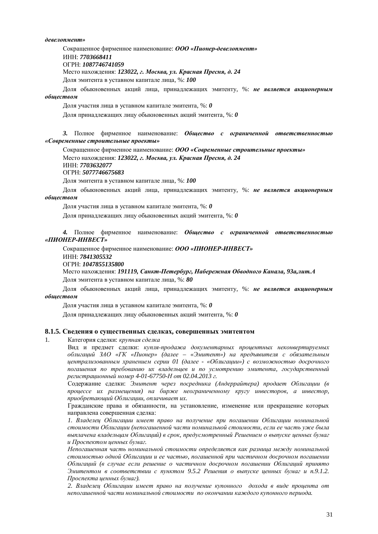#### $\partial$ евелопмент»

Сокращенное фирменное наименование: ООО «Пионер-девелопмент»

ɂɇɇ: *7703668411*

OFPH: **1087746741059** 

Место нахождения: 123022, г. Москва, ул. Красная Пресня, д. 24

Доля эмитента в уставном капитале лица, %: 100

Доля обыкновенных акций лица, принадлежащих эмитенту, %: не является акционерным  $i$ *ówecmeom* 

Доля участия лица в уставном капитале эмитента, %: 0

Доля принадлежащих лицу обыкновенных акций эмитента, %: 0

3. Полное фирменное наименование: Общество с ограниченной ответственностью *©ɋɨɜɪɟɦɟɧɧɵɟɫɬɪɨɢɬɟɥɶɧɵɟɩɪɨɟɤɬɵ»*

Сокращенное фирменное наименование: ООО «Современные строительные проекты»

Место нахождения: 123022, г. Москва, ул. Красная Пресня, д. 24

ɂɇɇ: *7703632077*

ɈȽɊɇ: *5077746675683*

Доля эмитента в уставном капитале лица, %: 100

Доля обыкновенных акций лица, принадлежащих эмитенту, %: не является акционерным  $0$ бществом

Доля участия лица в уставном капитале эмитента, %: 0

 $\eta$ оля принадлежащих лицу обыкновенных акций эмитента, %:  $\theta$ 

4. Полное фирменное наименование: Общество с ограниченной ответственностью *©ɉɂɈɇȿɊɂɇȼȿɋɌ»*

Сокращенное фирменное наименование: ООО «ПИОНЕР-ИНВЕСТ»

ɂɇɇ: *7841305532*

ɈȽɊɇ: *1047855135800*

Место нахождения: 191119, Санкт-Петербург, Набережная Обводного Канала, 93а,лит.А

Доля эмитента в уставном капитале лица, %: 80

Доля обыкновенных акций лица, принадлежащих эмитенту, %: не является акционерным *обществом* 

Доля участия лица в уставном капитале эмитента, %: 0

 $\pi$ оля принадлежащих лицу обыкновенных акций эмитента, %:  $\theta$ 

#### 8.1.5. Сведения о существенных сделках, совершенных эмитентом

1. Категория слелки: *крупная сделка* 

Вид и предмет сделки: купля-продажа документарных процентных неконвертируемых  $\delta$ *облигаций* ЗАО «ГК «Пионер» (далее – «Эмитент») на предъявителя с обязательным  $\mu$ ентрализованным хранением серии 01 (далее - «Облигации») с возможностью досрочного погашения по требованию их владельцев и по усмотрению эмитента, государственный  ${}$ *pегистрационный номер* 4-01-67750-*H* от 02.04.2013 г.

Содержание сделки: Эмитент через посредника (Андеррайтера) продает Облигации (в процессе их размещения) на бирже неограниченному кругу инвесторов, а инвестор, приобретающий Облигации, оплачивает их.

Гражданские права и обязанности, на установление, изменение или прекращение которых направлена совершенная сделка:

1. Владелеи Облигашии имеет право на получение при погашении Облигашии номинальной *ɫɬɨɢɦɨɫɬɢɈɛɥɢɝɚɰɢɢ (ɧɟɩɨɝɚɲɟɧɧɨɣɱɚɫɬɢɧɨɦɢɧɚɥɶɧɨɣɫɬɨɢɦɨɫɬɢ, ɟɫɥɢɟɟɱɚɫɬɶɭɠɟɛɵɥɚ ɜɵɩɥɚɱɟɧɚɜɥɚɞɟɥɶɰɚɦɈɛɥɢɝɚɰɢɣ) ɜɫɪɨɤ, ɩɪɟɞɭɫɦɨɬɪɟɧɧɵɣɊɟɲɟɧɢɟɦɨɜɵɩɭɫɤɟɰɟɧɧɵɯɛɭɦɚɝ ɢɉɪɨɫɩɟɤɬɨɦɰɟɧɧɵɯɛɭɦɚɝ.* 

Непогашенная часть номинальной стоимости определяется как разница между номинальной стоимостью одной Облигации и ее частью, погашенной при частичном досрочном погашении Облигаций (в случае если решение о частичном досрочном погашении Облигаций принято Эмитентом в соответствии с пунктом 9.5.2 Решения о выпуске ценных бумаг и п.9.1.2.  $\Pi$ роспекта ценных бумаг).

2. Владелец Облигации имеет право на получение купонного дохода в виде процента от *ɧɟɩɨɝɚɲɟɧɧɨɣɱɚɫɬɢɧɨɦɢɧɚɥɶɧɨɣɫɬɨɢɦɨɫɬɢ ɩɨɨɤɨɧɱɚɧɢɢɤɚɠɞɨɝɨɤɭɩɨɧɧɨɝɨɩɟɪɢɨɞɚ.*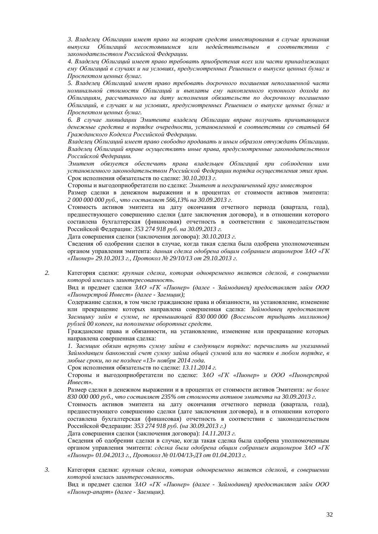3. Владелеи Облигашии имеет право на возврат средств инвестирования в случае признания выпуска Облигаций несостоявшимся или недействительным в соответствии с законодательством Российской Федерации.

4. Владелец Облигаций имеет право требовать приобретения всех или части принадлежащих *ɟɦɭɈɛɥɢɝɚɰɢɣɜɫɥɭɱɚɹɯɢɧɚɭɫɥɨɜɢɹɯ, ɩɪɟɞɭɫɦɨɬɪɟɧɧɵɯɊɟɲɟɧɢɟɦɨɜɵɩɭɫɤɟɰɟɧɧɵɯɛɭɦɚɝɢ* Проспектом иенных бумаг.

5. Владелец Облигаций имеет право требовать досрочного погашения непогашенной части номинальной стоимости Облигаций и выплаты ему накопленного купонного дохода по Облигашиям, рассчитанного на дату исполнения обязательств по досрочному погашению Облигаций, в случаях и на условиях, предусмотренных Решением о выпуске ценных бумаг и Проспектом ценных бумаг.

6. В случае ликвидации Эмитента владелец Облигации вправе получить причитающиеся денежные средства в порядке очередности, установленной в соответствии со статьей 64 Гражданского Кодекса Российской Федерации.

Владелец Облигаций имеет право свободно продавать и иным образом отчуждать Облигации. Владелец Облигаций вправе осуществлять иные права, предусмотренные законодательством Российской Федерации.

Эмитент обязуется обеспечить права владельцев Облигаций при соблюдении ими установленного законодательством Российской Федерации порядка осушествления этих прав. Срок исполнения обязательств по слелке: *30.10.2013 г.* 

Стороны и выгодоприобретатели по слелке: Эмитент и неограниченный круг инвесторов

Размер сделки в денежном выражении и в процентах от стоимости активов эмитента: 2 000 000 000 руб., что составляет 566,13% на 30.09.2013 г.

Стоимость активов эмитента на дату окончания отчетного периода (квартала, года), предшествующего совершению сделки (дате заключения договора), и в отношении которого составлена бухгалтерская (финансовая) отчетность в соответствии с законодательством Российской Федерации: 353 274 918 руб. на 30.09.2013 г.

Дата совершения сделки (заключения договора): 30.10.2013 г.

Сведения об одобрении сделки в случае, когда такая сделка была одобрена уполномоченным органом управления эмитента: данная сделка одобрена обшим собранием акционеров ЗАО «ГК *©ɉɢɨɧɟɪ» 29.10.2013 ɝ., ɉɪɨɬɨɤɨɥʋ 29/10/13 ɨɬ 29.10.2013 ɝ.* 

2. Категория сделки: крупная сделка, которая одновременно является сделкой, в совершении **которой имелась заинтересованность.** 

Вид и предмет сделки ЗАО «ГК «Пионер» (далее - Займодавец) предоставляет займ ООО *©ɉɢɨɧɟɪɫɬɪɨɣɂɧɜɟɫɬ» (ɞɚɥɟɟ - Ɂɚɟɦɳɢɤ);*

Содержание сделки, в том числе гражданские права и обязанности, на установление, изменение или прекращение которых направлена совершенная сделка: Займодавеи предоставляет  $3a$ емишку займ в сумме, не превышающей 830 000 000 (Восемьсот тридиать миллионов)  $py$ блей 00 копеек, на пополнение оборотных средств.

Гражданские права и обязанности, на установление, изменение или прекращение которых направлена совершенная сделка:

1. Заемщик обязан вернуть сумму займа в следующем порядке: перечислить на указанный Займодавцем банковский счет сумму займа общей суммой или по частям в любом порядке, в  $\mu$ юбые сроки, но не позднее «13» ноября 2014 года.

Срок исполнения обязательств по сделке: 13.11.2014 г.

Стороны и выгодоприобретатели по сделке: ЗАО «ГК «Пионер» и ООО «Пионерстрой *ɂɧɜɟɫɬ».*

Размер сделки в денежном выражении и в процентах от стоимости активов Эмитента: не более *830 000 000 ɪɭɛ., ɱɬɨɫɨɫɬɚɜɥɹɟɬ 235% ɨɬɫɬɨɢɦɨɫɬɢɚɤɬɢɜɨɜɷɦɢɬɟɧɬɚɧɚ 30.09.2013 ɝ.*

Стоимость активов эмитента на дату окончания отчетного периода (квартала, года), предшествующего совершению сделки (дате заключения договора), и в отношении которого составлена бухгалтерская (финансовая) отчетность в соответствии с законодательством Российской Федерации: 353 274 918 руб. (на 30.09.2013 г.)

Дата совершения сделки (заключения договора): 14.11.2013 г.

Сведения об одобрении сделки в случае, когда такая сделка была одобрена уполномоченным **урганом управления эмитента: сделка была одобрена общим собранием акционеров ЗАО «ГК** *©ɉɢɨɧɟɪ» 01.04.2013 ɝ., ɉɪɨɬɨɤɨɥʋ 01/04/13-ȾɁɨɬ 01.04.2013 ɝ.*

3. **Категория слелки:** *крупная сделка, которая одновременно является сделкой, в совершении* **которой имелась заинтересованность.** 

Вид и предмет сделки ЗАО «ГК «Пионер» (далее - Займодавец) предоставляет займ ООО *©ɉɢɨɧɟɪɚɩɚɪɬ» (ɞɚɥɟɟ - Ɂɚɟɦɳɢɤ).*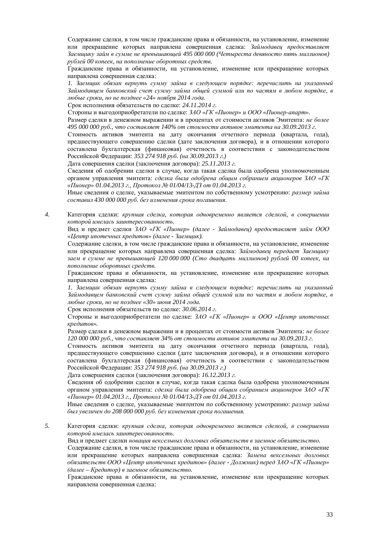Содержание слелки, в том числе гражданские права и обязанности, на установление, изменение или прекращение которых направлена совершенная сделка: Займодавец предоставляет Заемщику займ в сумме не превышающей 495 000 000 (Четыреста девяносто пять миллионов)  $p$ ублей 00 копеек, на пополнение оборотных средств.

Гражданские права и обязанности, на установление, изменение или прекращение которых направлена совершенная сделка:

1. Заемщик обязан вернуть сумму займа в следующем порядке: перечислить на указанный Займодавцем банковский счет сумму займа общей суммой или по частям в любом порядке, в дюбые сроки, но не позднее «24» ноября 2014 года.

Срок исполнения обязательств по слелке: 24.11.2014 г.

Стороны и выгодоприобретатели по сделке:  $3AO \times TK \times Thu$ онер» и ООО «Пионер-апарт».

Размер сделки в денежном выражении и в процентах от стоимости активов Эмитента: не более *495 000 000 ɪɭɛ., ɱɬɨɫɨɫɬɚɜɥɹɟɬ 140% ɨɬɫɬɨɢɦɨɫɬɢɚɤɬɢɜɨɜɷɦɢɬɟɧɬɚɧɚ 30.09.2013 ɝ.*

Стоимость активов эмитента на дату окончания отчетного периода (квартала, года), предшествующего совершению сделки (дате заключения договора), и в отношении которого составлена бухгалтерская (финансовая) отчетность в соответствии с законодательством Российской Федерации: 353 274 918 руб. (на 30.09.2013 г.)

Дата совершения сделки (заключения договора): 25.11.2013 г.

Свеления об олобрении слелки в случае, когла такая слелка была олобрена уполномоченным органом управления эмитента: *сделка была одобрена общим собранием акционеров* ЗАО «ГК *©ɉɢɨɧɟɪ» 01.04.2013 ɝ., ɉɪɨɬɨɤɨɥʋ 01/04/13-ȾɁɨɬ 01.04.2013 ɝ.*

Иные сведения о сделке, указываемые эмитентом по собственному усмотрению: размер займа  $c$ оставил 430 000 000 руб. без изменения срока погашения.

4. Категория сделки: крупная сделка, которая одновременно является сделкой, в совершении **которой имелась заинтересованность.** 

Вид и предмет сделки ЗАО «ГК «Пионер» (далее - Займодавец) предоставляет займ ООО *©ɐɟɧɬɪɢɩɨɬɟɱɧɵɯɤɪɟɞɢɬɨɜ» (ɞɚɥɟɟ - Ɂɚɟɦɳɢɤ).*

Содержание сделки, в том числе гражданские права и обязанности, на установление, изменение или прекрашение которых направлена совершенная слелка: Займодавеи передает Заемшику заем в сумме не превышающей 120 000 000 (Сто двадцать миллионов) рублей 00 копеек, на пополнение оборотных средств.

Гражданские права и обязанности, на установление, изменение или прекращение которых направлена совершенная сделка:

1. Заемщик обязан вернуть сумму займа в следующем порядке: перечислить на указанный Займодавцем банковский счет сумму займа общей суммой или по частям в любом порядке, в  $\mu$ юбые сроки, но не позднее «30» июня 2014 года.

Срок исполнения обязательств по сделке: 30.06.2014 г.

Стороны и выгодоприобретатели по сделке: 3AO «ГК «Пионер» и ООО «Центр ипотечных *ɤɪɟɞɢɬɨɜ».*

Размер сделки в денежном выражении и в процентах от стоимости активов Эмитента: не более *120 000 000 ɪɭɛ., ɱɬɨɫɨɫɬɚɜɥɹɟɬ 34% ɨɬɫɬɨɢɦɨɫɬɢɚɤɬɢɜɨɜɷɦɢɬɟɧɬɚɧɚ 30.09.2013 ɝ.*

Стоимость активов эмитента на дату окончания отчетного периода (квартала, года), предшествующего совершению сделки (дате заключения договора), и в отношении которого составлена бухгалтерская (финансовая) отчетность в соответствии с законодательством Российской Федерации: 353 274 918 руб. (на 30.09.2013 г.)

Дата совершения сделки (заключения договора): 16.12.2013 г.

Сведения об одобрении сделки в случае, когда такая сделка была одобрена уполномоченным **урганом управления эмитента: сделка была одобрена общим собранием акционеров ЗАО «ГК** *©ɉɢɨɧɟɪ» 01.04.2013 ɝ., ɉɪɨɬɨɤɨɥʋ 01/04/13-ȾɁɨɬ 01.04.2013 ɝ.*

Иные сведения о сделке, указываемые эмитентом по собственному усмотрению: размер займа был увеличен до 208 000 000 руб. без изменения срока погашения.

5. Категория сделки: *крупная сделка, которая одновременно является сделкой, в совершении*  $$ 

Вид и предмет сделки новация вексельных долговых обязательств в заемное обязательство.

Содержание сделки, в том числе гражданские права и обязанности, на установление, изменение или прекращение которых направлена совершенная сделка: Замена вексельных долговых  $\delta$ обязательств ООО «Центр ипотечных кредитов» (далее - Должник) перед ЗАО «ГК «Пионер»  $\hat{\theta}$ алее – Кредитор) в заемное обязательство.

Гражданские права и обязанности, на установление, изменение или прекращение которых направлена совершенная сделка: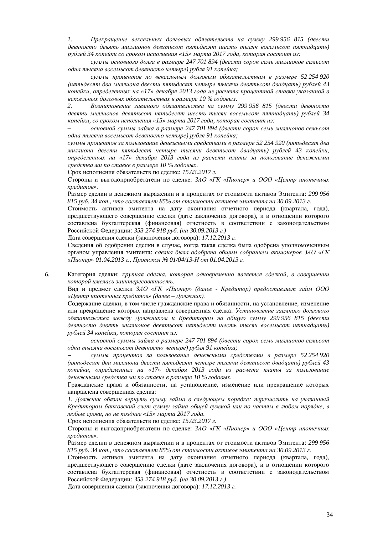*1. Прекращение вексельных долговых обязательств на сумму 299 956 815 (двести* девяносто девять миллионов девятьсот пятьдесят шесть тысяч восемьсот пятнадцать)  $p$ ублей 34 копейки со сроком исполнения «15» марта 2017 года, которая состоит из:

суммы основного долга в размере 247 701 894 (двести сорок семь миллионов семьсот  $\phi$ дна тысяча восемьсот девяносто четыре) рубля 91 копейка;

суммы процентов по вексельным долговым обязательствам в размере 52 254 920 *ɩɹɬɶɞɟɫɹɬɞɜɚɦɢɥɥɢɨɧɚɞɜɟɫɬɢɩɹɬɶɞɟɫɹɬɱɟɬɵɪɟɬɵɫɹɱɢɞɟɜɹɬɶɫɨɬɞɜɚɞɰɚɬɶ) ɪɭɛɥɟɣ 43*  копейки, определенных на «17» декабря 2013 года из расчета процентной ставки указанной в *ɜɟɤɫɟɥɶɧɵɯɞɨɥɝɨɜɵɯɨɛɹɡɚɬɟɥɶɫɬɜɚɯɜɪɚɡɦɟɪɟ 10 % ɝɨɞɨɜɵɯ.* 

2. Возникновение заемного обязательства на сумму 299 956 815 (двести девяносто  $\partial$ евять миллионов девятьсот пятьдесят шесть тысяч восемьсот пятнадцать) рублей 34 *копейки, со сроком исполнения «15» марта 2017 года, которая состоит из:* 

 $o$ сновной суммы займа в размере 247 701 894 (двести сорок семь миллионов семьсот  $\phi$ дна тысяча восемьсот девяносто четыре) рубля 91 копейка;

суммы процентов за пользование денежными средствами в размере 52 254 920 (пятьдесят два  $\mu$ иллиона двести пятьдесят четыре тысячи девятьсот двадцать) рублей 43 копейки,  $onpe$ *деленных на «17» декабря 2013 года из расчета платы за пользование денежными*  $c$ редства ми по ставке в размере 10 % годовых.

Срок исполнения обязательств по сделке: 15.03.2017 г.

Стороны и выгодоприобретатели по сделке: 3АО «ГК «Пионер» и ООО «Центр ипотечных *кредитов».* 

Размер сделки в денежном выражении и в процентах от стоимости активов Эмитента: 299 956 *815 ɪɭɛ. 34 ɤɨɩ., ɱɬɨɫɨɫɬɚɜɥɹɟɬ 85% ɨɬɫɬɨɢɦɨɫɬɢɚɤɬɢɜɨɜɷɦɢɬɟɧɬɚɧɚ 30.09.2013 ɝ.*

Стоимость активов эмитента на дату окончания отчетного периода (квартала, года), предшествующего совершению сделки (дате заключения договора), и в отношении которого составлена бухгалтерская (финансовая) отчетность в соответствии с законодательством Российской Федерации: 353 274 918 руб. (на 30.09.2013 г.)

Дата совершения сделки (заключения договора): 17.12.2013 г.

Сведения об одобрении сделки в случае, когда такая сделка была одобрена уполномоченным органом управления эмитента: *сделка была одобрена общим собранием акционеров* ЗАО «ГК *©ɉɢɨɧɟɪ» 01.04.2013 ɝ., ɉɪɨɬɨɤɨɥʋ 01/04/13-ɇɨɬ 01.04.2013 ɝ.*

6. Категория сделки: крупная сделка, которая одновременно является сделкой, в совершении **которой имелась заинтересованность.** 

Вид и предмет сделки ЗАО «ГК «Пионер» (далее - Кредитор) предоставляет займ ООО *©ɐɟɧɬɪɢɩɨɬɟɱɧɵɯɤɪɟɞɢɬɨɜ» (ɞɚɥɟɟ – Ⱦɨɥɠɧɢɤ).*

Содержание сделки, в том числе гражданские права и обязанности, на установление, изменение или прекращение которых направлена совершенная сделка: *Установление заемного долгового обязательства между Должником и Кредитором на общую сумму 299 956 815 (двести* девяносто девять миллионов девятьсот пятьдесят шесть тысяч восемьсот пятнадцать) *p*ублей 34 копейки, которая состоит из:

**основной суммы займа в размере 247 701 894 (двести сорок семь миллионов семьсот**  $o$ дна тысяча восемьсот девяносто четыре) рубля 91 копейка;

суммы процентов за пользование денежными средствами в размере 52 254 920 *ɩɹɬɶɞɟɫɹɬɞɜɚɦɢɥɥɢɨɧɚɞɜɟɫɬɢɩɹɬɶɞɟɫɹɬɱɟɬɵɪɟɬɵɫɹɱɢɞɟɜɹɬɶɫɨɬɞɜɚɞɰɚɬɶ) ɪɭɛɥɟɣ 43*  копейки, определенных на «17» декабря 2013 года из расчета платы за пользование денежными средства ми по ставке в размере 10 % годовых.

Гражданские права и обязанности, на установление, изменение или прекращение которых направлена совершенная сделка:

1. Должник обязан вернуть сумму займа в следующем порядке: перечислить на указанный Кредитором банковский счет сумму займа общей суммой или по частям в любом порядке, в  $\mu$ юбые сроки, но не позднее «15» марта 2017 года.

Срок исполнения обязательств по сделке: 15.03.2017 г.

Стороны и выгодоприобретатели по сделке: ЗАО «ГК «Пионер» и ООО «Центр ипотечных *ɤɪɟɞɢɬɨɜ».*

Размер сделки в денежном выражении и в процентах от стоимости активов Эмитента: 299 956 *815 ɪɭɛ. 34 ɤɨɩ., ɱɬɨɫɨɫɬɚɜɥɹɟɬ 85% ɨɬɫɬɨɢɦɨɫɬɢɚɤɬɢɜɨɜɷɦɢɬɟɧɬɚɧɚ 30.09.2013 ɝ.*

Стоимость активов эмитента на дату окончания отчетного периода (квартала, года), предшествующего совершению сделки (дате заключения договора), и в отношении которого составлена бухгалтерская (финансовая) отчетность в соответствии с законодательством Российской Федерации: 353 274 918 руб. (на 30.09.2013 г.)

Дата совершения сделки (заключения договора): 17.12.2013 г.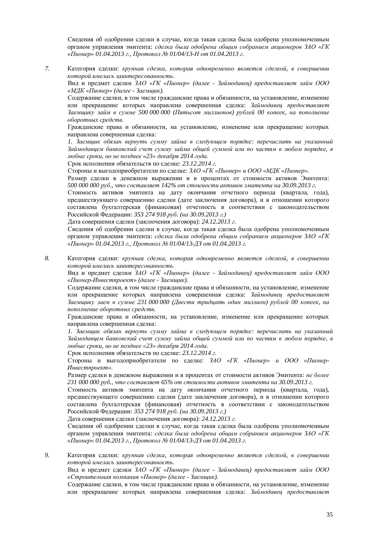Свеления об одобрении слелки в случае, когла такая слелка была одобрена уполномоченным **урганом управления эмитента: сделка была одобрена общим собранием акционеров ЗАО «ГК** *©ɉɢɨɧɟɪ» 01.04.2013 ɝ., ɉɪɨɬɨɤɨɥʋ 01/04/13-ɇɨɬ 01.04.2013 ɝ.*

7. Категория сделки: *крупная сделка, которая одновременно является сделкой, в совершении которой имелась заинтересованность.* 

Вид и предмет сделки 3AO «ГК «Пионер» (далее - Займодавец) предоставляет займ ООО *©ɆȾɄ «ɉɢɨɧɟɪ» (ɞɚɥɟɟ - Ɂɚɟɦɳɢɤ).*

Содержание слелки, в том числе гражданские права и обязанности, на установление, изменение или прекращение которых направлена совершенная сделка: Займодавеи предоставляет Заемщику займ в сумме 500 000 000 (Пятьсот миллионов) рублей 00 копеек, на пополнение  $66$ оротных средств.

Гражданские права и обязанности, на установление, изменение или прекращение которых направлена совершенная сделка:

1. Заемщик обязан вернуть сумму займа в следующем порядке: перечислить на указанный Займодавцем банковский счет сумму займа общей суммой или по частям в любом порядке, в любые сроки, но не позднее «23» декабря 2014 года.

Срок исполнения обязательств по сделке: 23.12.2014 г.

Стороны и выгодоприобретатели по сделке: ЗАО «ГК «Пионер» и ООО «МДК «Пионер».

Размер сделки в денежном выражении и в процентах от стоимости активов Эмитента: *500 000 000 pvб., что составляет 142% от стоимости активов эмитента на 30.09.2013 г.* 

Стоимость активов эмитента на дату окончания отчетного периода (квартала, года), предшествующего совершению сделки (дате заключения договора), и в отношении которого составлена бухгалтерская (финансовая) отчетность в соответствии с законодательством Российской Федерации: 353 274 918 руб. (на 30.09.2013 г.)

Дата совершения сделки (заключения договора): 24.12.2013 г.

Сведения об одобрении сделки в случае, когда такая сделка была одобрена уполномоченным органом управления эмитента: *сделка была одобрена общим собранием акционеров* ЗАО «ГК *©ɉɢɨɧɟɪ» 01.04.2013 ɝ., ɉɪɨɬɨɤɨɥʋ 01/04/13-ȾɁɨɬ 01.04.2013 ɝ.*

8. Категория сделки: *крупная сделка, которая одновременно является сделкой, в совершении* **которой имелась заинтересованность.** 

Вид и предмет сделки ЗАО «ГК «Пионер» (далее - Займодавец) предоставляет займ ООО *©ɉɢɨɧɟɪɂɧɜɟɫɬɩɪɨɟɤɬ» (ɞɚɥɟɟ - Ɂɚɟɦɳɢɤ).*

Содержание сделки, в том числе гражданские права и обязанности, на установление, изменение или прекращение которых направлена совершенная сделка: Займодавец предоставляет  $3a$ емщику заем в сумме 231 000 000 (Двести тридцать один миллион) рублей 00 копеек, на пополнение оборотных средств.

Гражданские права и обязанности, на установление, изменение или прекрашение которых направлена совершенная слелка:

1. Заемшик обязан вернуть сумму займа в следующем порядке: перечислить на указанный  $3$ аймодавием банковский счет сумму займа обшей суммой или по частям в любом порядке, в  $\mu$ юбые сроки, но не позднее «23» декабря 2014 года.

Срок исполнения обязательств по сделке: 23.12.2014 г.

Стороны и выгодоприобретатели по сделке: ЗАО «ГК «Пионер» и ООО «Пионер- $M$ нвестпроект».

Размер сделки в денежном выражении и в процентах от стоимости активов Эмитента: не более 231 000 000 руб., что составляет 65% от стоимости активов эмитента на 30.09.2013 г.

Стоимость активов эмитента на дату окончания отчетного периода (квартала, года), предшествующего совершению сделки (дате заключения договора), и в отношении которого составлена бухгалтерская (финансовая) отчетность в соответствии с законодательством Российской Федерации: 353 274 918 руб. (на 30.09.2013 г.)

Дата совершения сделки (заключения договора): 24.12.2013 г.

Сведения об одобрении сделки в случае, когда такая сделка была одобрена уполномоченным **урганом управления эмитента: сделка была одобрена общим собранием акционеров ЗАО «ГК** *©ɉɢɨɧɟɪ» 01.04.2013 ɝ., ɉɪɨɬɨɤɨɥʋ 01/04/13-ȾɁɨɬ 01.04.2013 ɝ.*

9. Категория сделки: крупная сделка, которая одновременно является сделкой, в совершении **которой имелась заинтересованность.** 

Вид и предмет сделки  $3AO \ll K \ll \Pi$ ионер» (далее - Займодавец) предоставляет займ ООО *©ɋɬɪɨɢɬɟɥɶɧɚɹɤɨɦɩɚɧɢɹ «ɉɢɨɧɟɪ» (ɞɚɥɟɟ - Ɂɚɟɦɳɢɤ).*

Содержание сделки, в том числе гражданские права и обязанности, на установление, изменение или прекращение которых направлена совершенная сделка: Займодавец предоставляет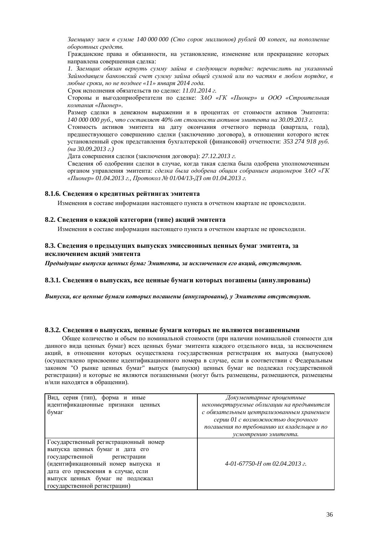$3a$ емишку заем в сумме 140 000 000 (Сто сорок миллионов) рублей 00 копеек, на пополнение  $$ 

Гражданские права и обязанности, на установление, изменение или прекращение которых направлена совершенная сделка:

1. Заемщик обязан вернуть сумму займа в следующем порядке: перечислить на указанный Займодавцем банковский счет сумму займа общей суммой или по частям в любом порядке, в  $\mu$ юбые сроки, но не позднее «11» января 2014 года.

Срок исполнения обязательств по сделке: *11.01.2014 г.* 

Gтороны и выголоприобретатели по слелке: 3AO «ГК «Пионер» и ООО «Строительная  $$ 

Размер сделки в денежном выражении и в процентах от стоимости активов Эмитента: *140 000 000 ɪɭɛ., ɱɬɨɫɨɫɬɚɜɥɹɟɬ 40% ɨɬɫɬɨɢɦɨɫɬɢɚɤɬɢɜɨɜɷɦɢɬɟɧɬɚɧɚ 30.09.2013 ɝ.*

Стоимость активов эмитента на дату окончания отчетного периода (квартала, года), предшествующего совершению сделки (заключению договора), в отношении которого истек установленный срок представления бухгалтерской (финансовой) отчетности: 353 274 918 руб. *ɧɚ 30.09.2013 ɝ.)*

Дата совершения сделки (заключения договора): 27.12.2013 г.

Сведения об одобрении сделки в случае, когда такая сделка была одобрена уполномоченным органом управления эмитента: *сделка была одобрена общим собранием акционеров* ЗАО «ГК *©ɉɢɨɧɟɪ» 01.04.2013 ɝ., ɉɪɨɬɨɤɨɥʋ 01/04/13-ȾɁɨɬ 01.04.2013 ɝ.*

#### **8.1.6. Сведения о кредитных рейтингах эмитента**

Изменения в составе информации настоящего пункта в отчетном квартале не происходили.

#### **8.2. Сведения о каждой категории (типе) акций эмитента**

Изменения в составе информации настоящего пункта в отчетном квартале не происходили.

#### 8.3. Сведения о предыдущих выпусках эмиссионных ценных бумаг эмитента, за исключением акций эмитента

*ɉɪɟɞɵɞɭɳɢɟɜɵɩɭɫɤɢɰɟɧɧɵɯɛɭɦɚɝɗɦɢɬɟɧɬɚ, ɡɚɢɫɤɥɸɱɟɧɢɟɦɟɝɨɚɤɰɢɣ, ɨɬɫɭɬɫɬɜɭɸɬ.*

#### 8.3.1. Сведения о выпусках, все ценные бумаги которых погашены (аннулированы)

Выпуски, все ценные бумаги которых погашены (аннулированы), у Эмитента отсутствуют.

#### 8.3.2. Сведения о выпусках, ценные бумаги которых не являются погашенными

Общее количество и объем по номинальной стоимости (при наличии номинальной стоимости для данного вида ценных бумаг эмитента каждого отдельного вида, за исключением акций, в отношении которых осуществлена государственная регистрация их выпуска (выпусков) (осуществлено присвоение идентификационного номера в случае, если в соответствии с Федеральным законом "О рынке ценных бумаг" выпуск (выпуски) ценных бумаг не подлежал государственной регистрации) и которые не являются погашенными (могут быть размещены, размещаются, размещены и/или находятся в обращении).

| Вид, серия (тип), форма и иные<br>идентификационные признаки ценных                                                                                                                                                                                    | Документарные процентные<br>неконвертируемые облигации на предъявителя                                   |
|--------------------------------------------------------------------------------------------------------------------------------------------------------------------------------------------------------------------------------------------------------|----------------------------------------------------------------------------------------------------------|
| бумаг                                                                                                                                                                                                                                                  | с обязательным централизованным хранением                                                                |
|                                                                                                                                                                                                                                                        | серии 01 с возможностью досрочного<br>погашения по требованию их владельцев и по<br>усмотрению эмитента. |
| Государственный регистрационный номер<br>выпуска ценных бумаг и дата его<br>государственной регистрации<br>(идентификационный номер выпуска и<br>дата его присвоения в случае, если<br>выпуск ценных бумаг не подлежал<br>государственной регистрации) | 4-01-67750-H om 02.04.2013 г.                                                                            |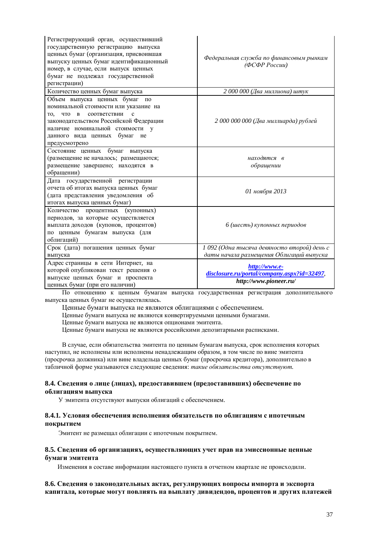| Регистрирующий орган, осуществивший<br>государственную регистрацию выпуска<br>ценных бумаг (организация, присвоившая<br>выпуску ценных бумаг идентификационный<br>номер, в случае, если выпуск ценных<br>бумаг не подлежал государственной<br>регистрации)                    | Федеральная служба по финансовым рынкам<br>(ФСФР России)                               |
|-------------------------------------------------------------------------------------------------------------------------------------------------------------------------------------------------------------------------------------------------------------------------------|----------------------------------------------------------------------------------------|
| Количество ценных бумаг выпуска                                                                                                                                                                                                                                               | 2 000 000 (Два миллиона) штук                                                          |
| Объем выпуска ценных бумаг<br>$\Pi$ O<br>номинальной стоимости или указание на<br>соответствии<br>что<br>$\mathbf{B}$<br>$\mathbf{c}$<br>TO.<br>законодательством Российской Федерации<br>наличие номинальной стоимости у<br>данного вида ценных бумаг<br>He<br>предусмотрено | 2 000 000 000 (Два миллиарда) рублей                                                   |
| бумаг<br>Состояние ценных<br>выпуска<br>(размещение не началось; размещаются;<br>размещение завершено; находятся в<br>обращении)                                                                                                                                              | находятся в<br>обращении                                                               |
| Дата государственной регистрации<br>отчета об итогах выпуска ценных бумаг<br>(дата представления уведомления об<br>итогах выпуска ценных бумаг)                                                                                                                               | 01 ноября 2013                                                                         |
| Количество процентных (купонных)<br>периодов, за которые осуществляется<br>выплата доходов (купонов, процентов)<br>по ценным бумагам выпуска (для<br>облигаций)                                                                                                               | 6 (шесть) купонных периодов                                                            |
| Срок (дата) погашения ценных бумаг                                                                                                                                                                                                                                            | 1 092 (Одна тысяча девяносто второй) день с                                            |
| выпуска                                                                                                                                                                                                                                                                       | даты начала размещения Облигаций выпуска                                               |
| Адрес страницы в сети Интернет, на<br>которой опубликован текст решения о<br>выпуске ценных бумаг и проспекта<br>ценных бумаг (при его наличии)                                                                                                                               | http://www.e-<br>disclosure.ru/portal/company.aspx?id=32497,<br>http://www.pioneer.ru/ |

По отношению к ценным бумагам выпуска государственная регистрация дополнительного выпуска ценных бумаг не осуществлялась.

Ценные бумаги выпуска не являются облигациями с обеспечением.

Ценные бумаги выпуска не являются конвертируемыми ценными бумагами.

Ценные бумаги выпуска не являются опционами эмитента.

Ценные бумаги выпуска не являются российскими депозитарными расписками.

В случае, если обязательства эмитента по ценным бумагам выпуска, срок исполнения которых наступил, не исполнены или исполнены ненадлежащим образом, в том числе по вине эмитента (просрочка должника) или вине владельца ценных бумаг (просрочка кредитора), дополнительно в табличной форме указываются следующие сведения: такие обязательства отсутствуют.

#### 8.4. Сведения о лице (лицах), предоставившем (предоставивших) обеспечение по **облигациям выпуска**

У эмитента отсутствуют выпуски облигаций с обеспечением.

#### 8.4.1. Условия обеспечения исполнения обязательств по облигациям с ипотечным покрытием

Эмитент не размещал облигации с ипотечным покрытием.

#### 8.5. Сведения об организациях, осуществляющих учет прав на эмиссионные ценные **бумаги эмитента**

Изменения в составе информации настоящего пункта в отчетном квартале не происходили.

### 8.6. Сведения о законодательных актах, регулирующих вопросы импорта и экспорта капитала, которые могут повлиять на выплату дивидендов, процентов и других платежей